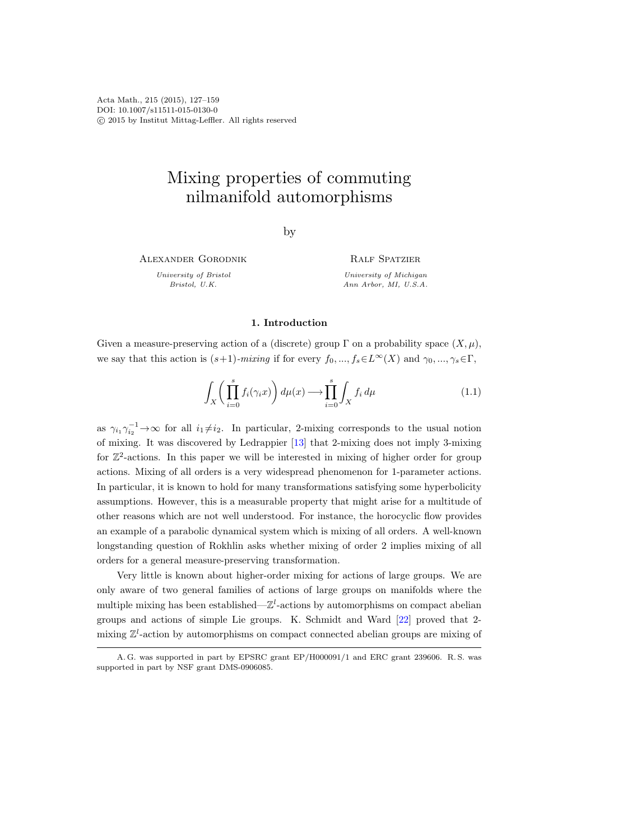Acta Math., 215 (2015), 127–159 DOI: 10.1007/s11511-015-0130-0 c 2015 by Institut Mittag-Leffler. All rights reserved

# Mixing properties of commuting nilmanifold automorphisms

by

Alexander Gorodnik

University of Bristol Bristol, U.K.

Ralf Spatzier University of Michigan Ann Arbor, MI, U.S.A.

# 1. Introduction

Given a measure-preserving action of a (discrete) group  $\Gamma$  on a probability space  $(X,\mu)$ , we say that this action is  $(s+1)$ -mixing if for every  $f_0, ..., f_s \in L^{\infty}(X)$  and  $\gamma_0, ..., \gamma_s \in \Gamma$ ,

<span id="page-0-0"></span>
$$
\int_{X} \left( \prod_{i=0}^{s} f_i(\gamma_i x) \right) d\mu(x) \longrightarrow \prod_{i=0}^{s} \int_{X} f_i d\mu \tag{1.1}
$$

as  $\gamma_{i_1}\gamma_{i_2}^{-1}\rightarrow\infty$  for all  $i_1\neq i_2$ . In particular, 2-mixing corresponds to the usual notion of mixing. It was discovered by Ledrappier [\[13\]](#page-31-0) that 2-mixing does not imply 3-mixing for  $\mathbb{Z}^2$ -actions. In this paper we will be interested in mixing of higher order for group actions. Mixing of all orders is a very widespread phenomenon for 1-parameter actions. In particular, it is known to hold for many transformations satisfying some hyperbolicity assumptions. However, this is a measurable property that might arise for a multitude of other reasons which are not well understood. For instance, the horocyclic flow provides an example of a parabolic dynamical system which is mixing of all orders. A well-known longstanding question of Rokhlin asks whether mixing of order 2 implies mixing of all orders for a general measure-preserving transformation.

Very little is known about higher-order mixing for actions of large groups. We are only aware of two general families of actions of large groups on manifolds where the multiple mixing has been established— $\mathbb{Z}^l$ -actions by automorphisms on compact abelian groups and actions of simple Lie groups. K. Schmidt and Ward [\[22\]](#page-31-1) proved that 2 mixing  $\mathbb{Z}^l$ -action by automorphisms on compact connected abelian groups are mixing of

A. G. was supported in part by EPSRC grant EP/H000091/1 and ERC grant 239606. R. S. was supported in part by NSF grant DMS-0906085.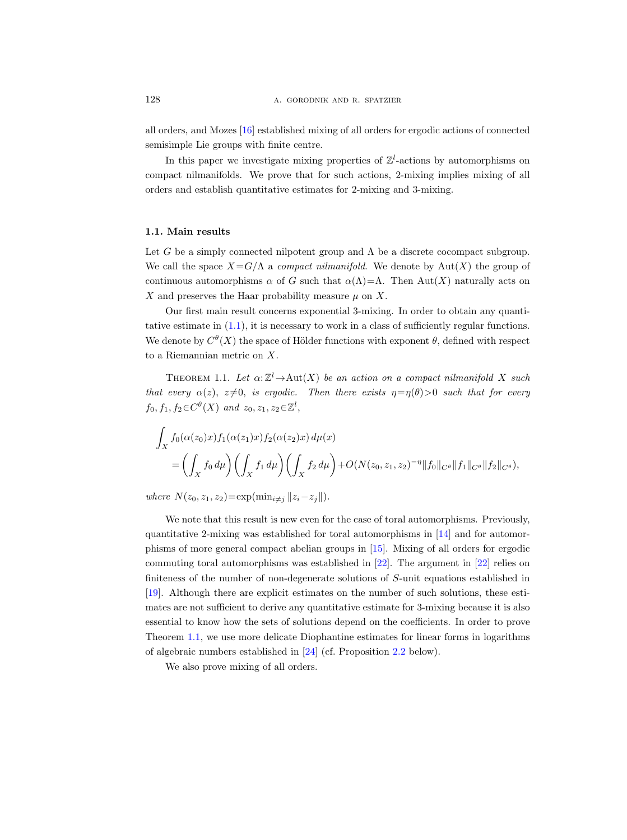all orders, and Mozes [\[16\]](#page-31-2) established mixing of all orders for ergodic actions of connected semisimple Lie groups with finite centre.

In this paper we investigate mixing properties of  $\mathbb{Z}^l$ -actions by automorphisms on compact nilmanifolds. We prove that for such actions, 2-mixing implies mixing of all orders and establish quantitative estimates for 2-mixing and 3-mixing.

# 1.1. Main results

Let G be a simply connected nilpotent group and  $\Lambda$  be a discrete cocompact subgroup. We call the space  $X = G/\Lambda$  a *compact nilmanifold*. We denote by  $Aut(X)$  the group of continuous automorphisms  $\alpha$  of G such that  $\alpha(\Lambda) = \Lambda$ . Then Aut $(X)$  naturally acts on X and preserves the Haar probability measure  $\mu$  on X.

Our first main result concerns exponential 3-mixing. In order to obtain any quantitative estimate in [\(1.1\)](#page-0-0), it is necessary to work in a class of sufficiently regular functions. We denote by  $C^{\theta}(X)$  the space of Hölder functions with exponent  $\theta$ , defined with respect to a Riemannian metric on X.

<span id="page-1-0"></span>THEOREM 1.1. Let  $\alpha: \mathbb{Z}^l \to \text{Aut}(X)$  be an action on a compact nilmanifold X such that every  $\alpha(z)$ ,  $z\neq0$ , is ergodic. Then there exists  $\eta=\eta(\theta)>0$  such that for every  $f_0, f_1, f_2 \in C^{\theta}(X)$  and  $z_0, z_1, z_2 \in \mathbb{Z}^l$ ,

$$
\int_X f_0(\alpha(z_0)x) f_1(\alpha(z_1)x) f_2(\alpha(z_2)x) d\mu(x)
$$
\n
$$
= \left( \int_X f_0 d\mu \right) \left( \int_X f_1 d\mu \right) \left( \int_X f_2 d\mu \right) + O(N(z_0, z_1, z_2)^{-\eta} ||f_0||_{C^\theta} ||f_1||_{C^\theta} ||f_2||_{C^\theta}),
$$

where  $N(z_0, z_1, z_2) = \exp(\min_{i \neq j} ||z_i - z_j||).$ 

We note that this result is new even for the case of toral automorphisms. Previously, quantitative 2-mixing was established for toral automorphisms in  $[14]$  and for automorphisms of more general compact abelian groups in [\[15\]](#page-31-4). Mixing of all orders for ergodic commuting toral automorphisms was established in [\[22\]](#page-31-1). The argument in [\[22\]](#page-31-1) relies on finiteness of the number of non-degenerate solutions of S-unit equations established in [\[19\]](#page-31-5). Although there are explicit estimates on the number of such solutions, these estimates are not sufficient to derive any quantitative estimate for 3-mixing because it is also essential to know how the sets of solutions depend on the coefficients. In order to prove Theorem [1.1,](#page-1-0) we use more delicate Diophantine estimates for linear forms in logarithms of algebraic numbers established in [\[24\]](#page-32-0) (cf. Proposition [2.2](#page-6-0) below).

<span id="page-1-1"></span>We also prove mixing of all orders.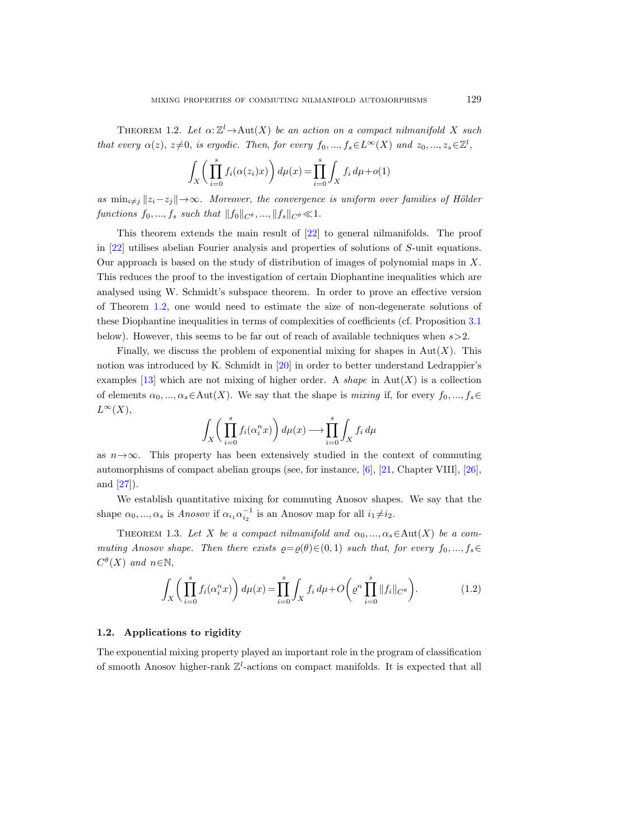THEOREM 1.2. Let  $\alpha: \mathbb{Z}^l \to \text{Aut}(X)$  be an action on a compact nilmanifold X such that every  $\alpha(z)$ ,  $z\neq0$ , is ergodic. Then, for every  $f_0, ..., f_s \in L^{\infty}(X)$  and  $z_0, ..., z_s \in \mathbb{Z}^l$ ,

$$
\int_{X} \left( \prod_{i=0}^{s} f_i(\alpha(z_i)x) \right) d\mu(x) = \prod_{i=0}^{s} \int_{X} f_i d\mu + o(1)
$$

as  $\min_{i\neq j} ||z_i-z_j|| \rightarrow \infty$ . Moreover, the convergence is uniform over families of Hölder functions  $f_0, ..., f_s$  such that  $||f_0||_{C^{\theta}}, ..., ||f_s||_{C^{\theta}} \ll 1$ .

This theorem extends the main result of [\[22\]](#page-31-1) to general nilmanifolds. The proof in [\[22\]](#page-31-1) utilises abelian Fourier analysis and properties of solutions of S-unit equations. Our approach is based on the study of distribution of images of polynomial maps in  $X$ . This reduces the proof to the investigation of certain Diophantine inequalities which are analysed using W. Schmidt's subspace theorem. In order to prove an effective version of Theorem [1.2,](#page-1-1) one would need to estimate the size of non-degenerate solutions of these Diophantine inequalities in terms of complexities of coefficients (cf. Proposition [3.1](#page-18-0) below). However, this seems to be far out of reach of available techniques when  $s > 2$ .

Finally, we discuss the problem of exponential mixing for shapes in  $Aut(X)$ . This notion was introduced by K. Schmidt in [\[20\]](#page-31-6) in order to better understand Ledrappier's examples [\[13\]](#page-31-0) which are not mixing of higher order. A shape in  $\text{Aut}(X)$  is a collection of elements  $\alpha_0, ..., \alpha_s \in \text{Aut}(X)$ . We say that the shape is mixing if, for every  $f_0, ..., f_s \in$  $L^{\infty}(X),$ 

$$
\int_X \bigg( \prod_{i=0}^s f_i(\alpha_i^n x) \bigg) d\mu(x) \longrightarrow \prod_{i=0}^s \int_X f_i d\mu
$$

as  $n \rightarrow \infty$ . This property has been extensively studied in the context of commuting automorphisms of compact abelian groups (see, for instance, [\[6\]](#page-31-7), [\[21,](#page-31-8) Chapter VIII], [\[26\]](#page-32-1), and [\[27\]](#page-32-2)).

We establish quantitative mixing for commuting Anosov shapes. We say that the shape  $\alpha_0, ..., \alpha_s$  is Anosov if  $\alpha_{i_1} \alpha_{i_2}^{-1}$  is an Anosov map for all  $i_1 \neq i_2$ .

<span id="page-2-0"></span>THEOREM 1.3. Let X be a compact nilmanifold and  $\alpha_0, ..., \alpha_s \in \text{Aut}(X)$  be a commuting Anosov shape. Then there exists  $\varrho = \varrho(\theta) \in (0, 1)$  such that, for every  $f_0, ..., f_s \in$  $C^{\theta}(X)$  and  $n \in \mathbb{N}$ ,

$$
\int_{X} \left( \prod_{i=0}^{s} f_i(\alpha_i^n x) \right) d\mu(x) = \prod_{i=0}^{s} \int_{X} f_i d\mu + O\left( \varrho^n \prod_{i=0}^{s} ||f_i||_{C^\theta} \right). \tag{1.2}
$$

#### 1.2. Applications to rigidity

The exponential mixing property played an important role in the program of classification of smooth Anosov higher-rank  $\mathbb{Z}^l$ -actions on compact manifolds. It is expected that all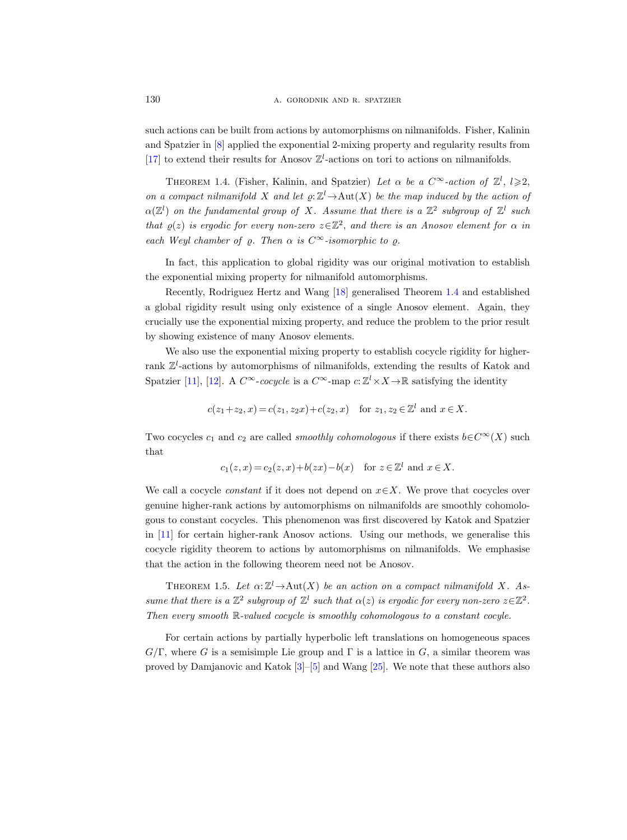such actions can be built from actions by automorphisms on nilmanifolds. Fisher, Kalinin and Spatzier in [\[8\]](#page-31-9) applied the exponential 2-mixing property and regularity results from [\[17\]](#page-31-10) to extend their results for Anosov  $\mathbb{Z}^l$ -actions on tori to actions on nilmanifolds.

<span id="page-3-0"></span>THEOREM 1.4. (Fisher, Kalinin, and Spatzier) Let  $\alpha$  be a  $C^{\infty}$ -action of  $\mathbb{Z}^l$ ,  $l \geqslant 2$ , on a compact nilmanifold X and let  $\varrho: \mathbb{Z}^l \to \mathrm{Aut}(X)$  be the map induced by the action of  $\alpha(\mathbb{Z}^l)$  on the fundamental group of X. Assume that there is a  $\mathbb{Z}^2$  subgroup of  $\mathbb{Z}^l$  such that  $\rho(z)$  is ergodic for every non-zero  $z \in \mathbb{Z}^2$ , and there is an Anosov element for  $\alpha$  in each Weyl chamber of  $\varrho$ . Then  $\alpha$  is  $C^{\infty}$ -isomorphic to  $\varrho$ .

In fact, this application to global rigidity was our original motivation to establish the exponential mixing property for nilmanifold automorphisms.

Recently, Rodriguez Hertz and Wang [\[18\]](#page-31-11) generalised Theorem [1.4](#page-3-0) and established a global rigidity result using only existence of a single Anosov element. Again, they crucially use the exponential mixing property, and reduce the problem to the prior result by showing existence of many Anosov elements.

We also use the exponential mixing property to establish cocycle rigidity for higherrank  $\mathbb{Z}^l$ -actions by automorphisms of nilmanifolds, extending the results of Katok and Spatzier [\[11\]](#page-31-12), [\[12\]](#page-31-13). A  $C^{\infty}$ -cocycle is a  $C^{\infty}$ -map  $c: \mathbb{Z}^l \times X \to \mathbb{R}$  satisfying the identity

$$
c(z_1+z_2, x) = c(z_1, z_2x) + c(z_2, x)
$$
 for  $z_1, z_2 \in \mathbb{Z}^l$  and  $x \in X$ .

Two cocycles  $c_1$  and  $c_2$  are called *smoothly cohomologous* if there exists  $b \in C^{\infty}(X)$  such that

$$
c_1(z, x) = c_2(z, x) + b(zx) - b(x) \quad \text{for } z \in \mathbb{Z}^l \text{ and } x \in X.
$$

We call a cocycle *constant* if it does not depend on  $x \in X$ . We prove that cocycles over genuine higher-rank actions by automorphisms on nilmanifolds are smoothly cohomologous to constant cocycles. This phenomenon was first discovered by Katok and Spatzier in [\[11\]](#page-31-12) for certain higher-rank Anosov actions. Using our methods, we generalise this cocycle rigidity theorem to actions by automorphisms on nilmanifolds. We emphasise that the action in the following theorem need not be Anosov.

<span id="page-3-1"></span>THEOREM 1.5. Let  $\alpha: \mathbb{Z}^l \to \text{Aut}(X)$  be an action on a compact nilmanifold X. Assume that there is a  $\mathbb{Z}^2$  subgroup of  $\mathbb{Z}^l$  such that  $\alpha(z)$  is ergodic for every non-zero  $z \in \mathbb{Z}^2$ . Then every smooth R-valued cocycle is smoothly cohomologous to a constant cocyle.

For certain actions by partially hyperbolic left translations on homogeneous spaces  $G/\Gamma$ , where G is a semisimple Lie group and  $\Gamma$  is a lattice in G, a similar theorem was proved by Damjanovic and Katok [\[3\]](#page-31-14)–[\[5\]](#page-31-15) and Wang [\[25\]](#page-32-3). We note that these authors also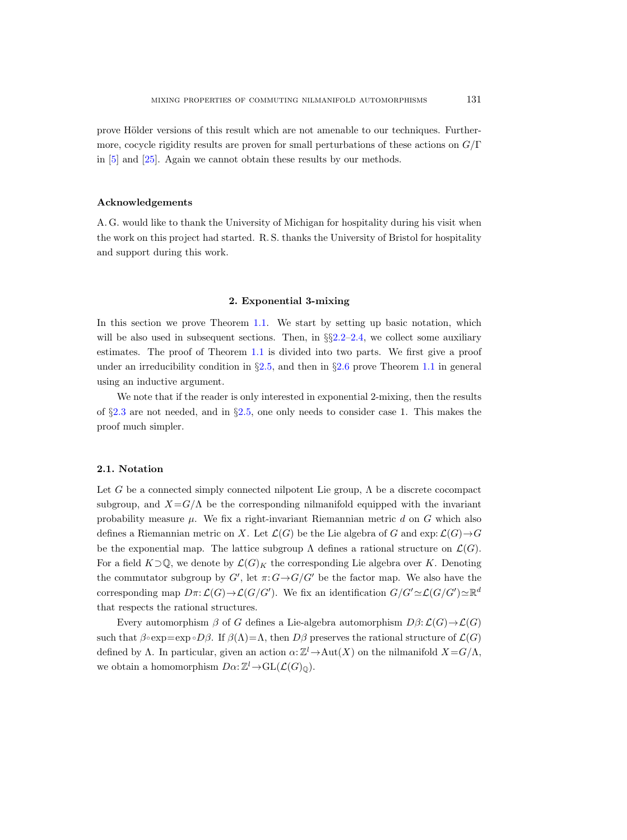prove Hölder versions of this result which are not amenable to our techniques. Furthermore, cocycle rigidity results are proven for small perturbations of these actions on  $G/\Gamma$ in [\[5\]](#page-31-15) and [\[25\]](#page-32-3). Again we cannot obtain these results by our methods.

# Acknowledgements

A. G. would like to thank the University of Michigan for hospitality during his visit when the work on this project had started. R. S. thanks the University of Bristol for hospitality and support during this work.

## 2. Exponential 3-mixing

In this section we prove Theorem [1.1.](#page-1-0) We start by setting up basic notation, which will be also used in subsequent sections. Then, in  $\S2.2-2.4$ , we collect some auxiliary estimates. The proof of Theorem [1.1](#page-1-0) is divided into two parts. We first give a proof under an irreducibility condition in  $\S2.5$ , and then in  $\S2.6$  $\S2.6$  prove Theorem [1.1](#page-1-0) in general using an inductive argument.

We note that if the reader is only interested in exponential 2-mixing, then the results of  $\S 2.3$  $\S 2.3$  are not needed, and in  $\S 2.5$ , one only needs to consider case 1. This makes the proof much simpler.

## <span id="page-4-0"></span>2.1. Notation

Let G be a connected simply connected nilpotent Lie group,  $\Lambda$  be a discrete cocompact subgroup, and  $X = G/\Lambda$  be the corresponding nilmanifold equipped with the invariant probability measure  $\mu$ . We fix a right-invariant Riemannian metric d on G which also defines a Riemannian metric on X. Let  $\mathcal{L}(G)$  be the Lie algebra of G and exp:  $\mathcal{L}(G) \rightarrow G$ be the exponential map. The lattice subgroup  $\Lambda$  defines a rational structure on  $\mathcal{L}(G)$ . For a field  $K\supset\mathbb{Q}$ , we denote by  $\mathcal{L}(G)_K$  the corresponding Lie algebra over K. Denoting the commutator subgroup by  $G'$ , let  $\pi: G \rightarrow G/G'$  be the factor map. We also have the corresponding map  $D\pi: \mathcal{L}(G) \to \mathcal{L}(G/G')$ . We fix an identification  $G/G' \simeq \mathcal{L}(G/G') \simeq \mathbb{R}^d$ that respects the rational structures.

Every automorphism  $\beta$  of G defines a Lie-algebra automorphism  $D\beta$ :  $\mathcal{L}(G) \rightarrow \mathcal{L}(G)$ such that  $\beta \circ \exp = \exp \circ D\beta$ . If  $\beta(\Lambda) = \Lambda$ , then  $D\beta$  preserves the rational structure of  $\mathcal{L}(G)$ defined by  $\Lambda$ . In particular, given an action  $\alpha: \mathbb{Z}^l \to \text{Aut}(X)$  on the nilmanifold  $X = G/\Lambda$ , we obtain a homomorphism  $D\alpha: \mathbb{Z}^l \to GL(\mathcal{L}(G)_\mathbb{Q})$ .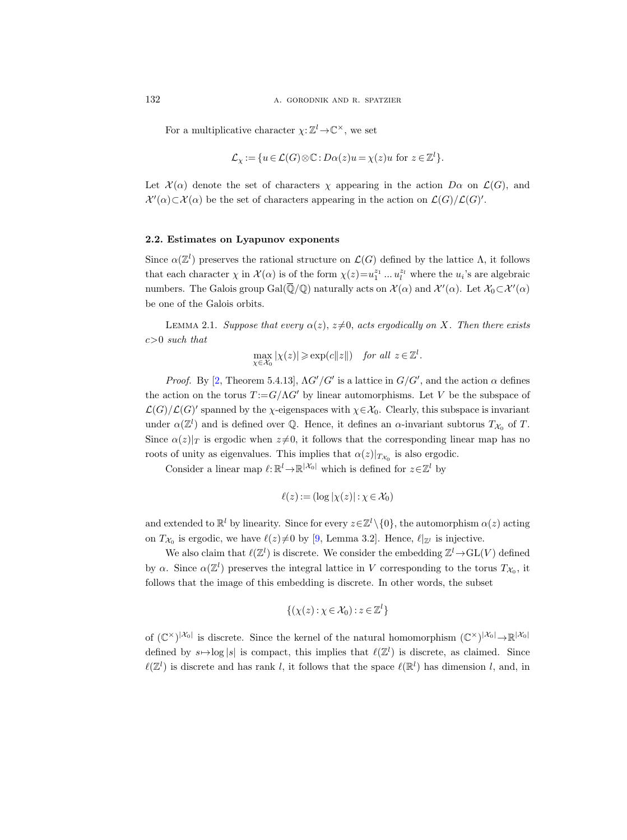For a multiplicative character  $\chi: \mathbb{Z}^l \to \mathbb{C}^\times$ , we set

$$
\mathcal{L}_{\chi} := \{ u \in \mathcal{L}(G) \otimes \mathbb{C} : D\alpha(z)u = \chi(z)u \text{ for } z \in \mathbb{Z}^l \}.
$$

Let  $\mathcal{X}(\alpha)$  denote the set of characters  $\chi$  appearing in the action  $D\alpha$  on  $\mathcal{L}(G)$ , and  $\mathcal{X}'(\alpha) \subset \mathcal{X}(\alpha)$  be the set of characters appearing in the action on  $\mathcal{L}(G)/\mathcal{L}(G)'$ .

# <span id="page-5-0"></span>2.2. Estimates on Lyapunov exponents

Since  $\alpha(\mathbb{Z}^l)$  preserves the rational structure on  $\mathcal{L}(G)$  defined by the lattice  $\Lambda$ , it follows that each character  $\chi$  in  $\mathcal{X}(\alpha)$  is of the form  $\chi(z) = u_1^{z_1} \dots u_l^{z_l}$  where the  $u_i$ 's are algebraic numbers. The Galois group  $Gal(\overline{\mathbb{Q}}/\mathbb{Q})$  naturally acts on  $\mathcal{X}(\alpha)$  and  $\mathcal{X}'(\alpha)$ . Let  $\mathcal{X}_0 \subset \mathcal{X}'(\alpha)$ be one of the Galois orbits.

<span id="page-5-1"></span>LEMMA 2.1. Suppose that every  $\alpha(z)$ ,  $z\neq0$ , acts ergodically on X. Then there exists  $c>0$  such that

$$
\max_{\chi \in \mathcal{X}_0} |\chi(z)| \geqslant \exp(c||z||) \quad \text{for all } z \in \mathbb{Z}^l.
$$

*Proof.* By [\[2,](#page-31-16) Theorem 5.4.13],  $\Lambda G'/G'$  is a lattice in  $G/G'$ , and the action  $\alpha$  defines the action on the torus  $T := G/\Lambda G'$  by linear automorphisms. Let V be the subspace of  $\mathcal{L}(G)/\mathcal{L}(G)'$  spanned by the  $\chi$ -eigenspaces with  $\chi \in \mathcal{X}_0$ . Clearly, this subspace is invariant under  $\alpha(\mathbb{Z}^l)$  and is defined over Q. Hence, it defines an  $\alpha$ -invariant subtorus  $T_{\mathcal{X}_0}$  of T. Since  $\alpha(z)|_T$  is ergodic when  $z\neq 0$ , it follows that the corresponding linear map has no roots of unity as eigenvalues. This implies that  $\alpha(z)|_{T_{\mathcal{X}_0}}$  is also ergodic.

Consider a linear map  $\ell: \mathbb{R}^l \to \mathbb{R}^{|\mathcal{X}_0|}$  which is defined for  $z \in \mathbb{Z}^l$  by

$$
\ell(z) := (\log |\chi(z)| : \chi \in \mathcal{X}_0)
$$

and extended to  $\mathbb{R}^l$  by linearity. Since for every  $z \in \mathbb{Z}^l \setminus \{0\}$ , the automorphism  $\alpha(z)$  acting on  $T_{\mathcal{X}_0}$  is ergodic, we have  $\ell(z)\neq 0$  by [\[9,](#page-31-17) Lemma 3.2]. Hence,  $\ell|_{\mathbb{Z}^l}$  is injective.

We also claim that  $\ell(\mathbb{Z}^l)$  is discrete. We consider the embedding  $\mathbb{Z}^l \to GL(V)$  defined by  $\alpha$ . Since  $\alpha(\mathbb{Z}^l)$  preserves the integral lattice in V corresponding to the torus  $T_{\mathcal{X}_0}$ , it follows that the image of this embedding is discrete. In other words, the subset

$$
\{(\chi(z): \chi \in \mathcal{X}_0) : z \in \mathbb{Z}^l\}
$$

of  $(\mathbb{C}^{\times})^{|\mathcal{X}_0|}$  is discrete. Since the kernel of the natural homomorphism  $(\mathbb{C}^{\times})^{|\mathcal{X}_0|} \to \mathbb{R}^{|\mathcal{X}_0|}$ defined by  $s \mapsto \log |s|$  is compact, this implies that  $\ell(\mathbb{Z}^l)$  is discrete, as claimed. Since  $\ell(\mathbb{Z}^l)$  is discrete and has rank l, it follows that the space  $\ell(\mathbb{R}^l)$  has dimension l, and, in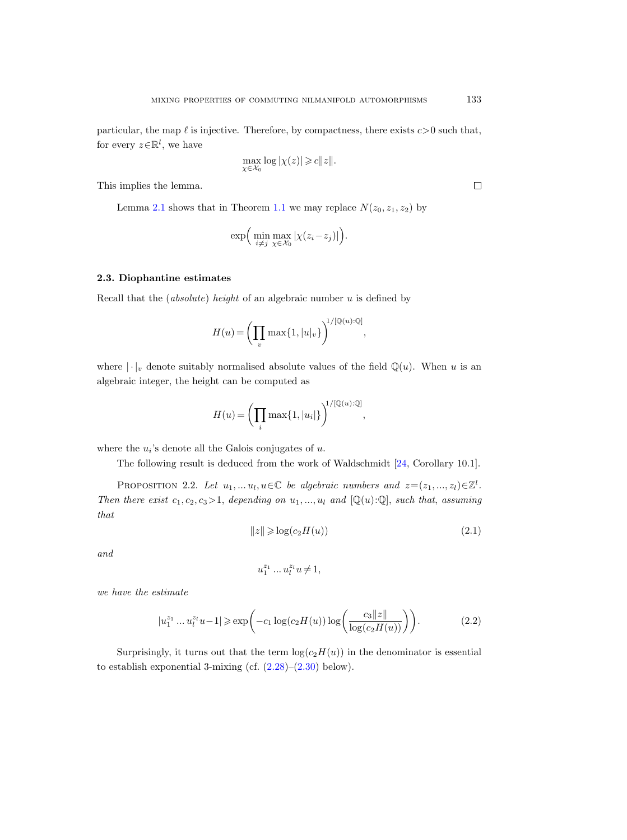particular, the map  $\ell$  is injective. Therefore, by compactness, there exists  $c > 0$  such that, for every  $z \in \mathbb{R}^l$ , we have

$$
\max_{\chi \in \mathcal{X}_0} \log |\chi(z)| \geqslant c \|z\|.
$$

This implies the lemma.

Lemma [2.1](#page-5-1) shows that in Theorem [1.1](#page-1-0) we may replace  $N(z_0, z_1, z_2)$  by

$$
\exp\Big(\min_{i\neq j}\max_{\chi\in\mathcal{X}_0}|\chi(z_i-z_j)|\Big).
$$

# <span id="page-6-1"></span>2.3. Diophantine estimates

Recall that the (absolute) height of an algebraic number  $u$  is defined by

$$
H(u) = \left(\prod_{v} \max\{1, |u|_{v}\}\right)^{1/[\mathbb{Q}(u):\mathbb{Q}]},
$$

where  $|\cdot|_v$  denote suitably normalised absolute values of the field  $\mathbb{Q}(u)$ . When u is an algebraic integer, the height can be computed as

$$
H(u) = \left(\prod_i \max\{1, |u_i|\}\right)^{1/[\mathbb{Q}(u):\mathbb{Q}]},
$$

where the  $u_i$ 's denote all the Galois conjugates of  $u$ .

The following result is deduced from the work of Waldschmidt [\[24,](#page-32-0) Corollary 10.1].

<span id="page-6-0"></span>PROPOSITION 2.2. Let  $u_1, \ldots u_l, u \in \mathbb{C}$  be algebraic numbers and  $z = (z_1, \ldots, z_l) \in \mathbb{Z}^l$ . Then there exist  $c_1, c_2, c_3 > 1$ , depending on  $u_1, ..., u_l$  and  $[Q(u):Q]$ , such that, assuming that

<span id="page-6-2"></span>
$$
||z|| \geqslant \log(c_2 H(u))\tag{2.1}
$$

and

$$
u_1^{z_1}\ldots u_l^{z_l}u\,{\neq}\,1,
$$

we have the estimate

<span id="page-6-3"></span>
$$
|u_1^{z_1} \dots u_l^{z_l} u - 1| \ge \exp\left(-c_1 \log(c_2 H(u)) \log\left(\frac{c_3 ||z||}{\log(c_2 H(u))}\right)\right). \tag{2.2}
$$

Surprisingly, it turns out that the term  $log(c_2H(u))$  in the denominator is essential to establish exponential 3-mixing (cf.  $(2.28)$ – $(2.30)$  below).

 $\Box$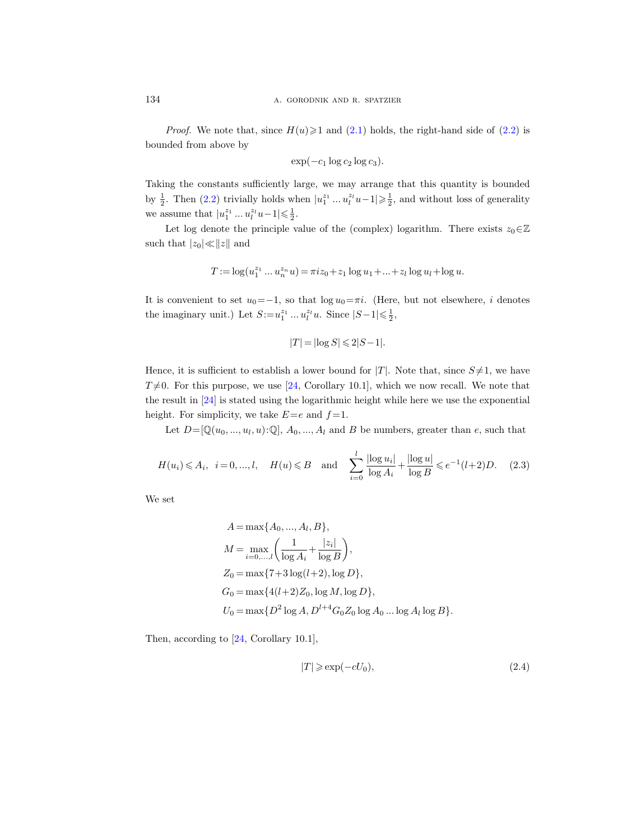*Proof.* We note that, since  $H(u) \ge 1$  and [\(2.1\)](#page-6-2) holds, the right-hand side of [\(2.2\)](#page-6-3) is bounded from above by

$$
\exp(-c_1 \log c_2 \log c_3).
$$

Taking the constants sufficiently large, we may arrange that this quantity is bounded by  $\frac{1}{2}$ . Then [\(2.2\)](#page-6-3) trivially holds when  $|u_1^{z_1} \dots u_l^{z_l} u - 1| \geq \frac{1}{2}$ , and without loss of generality we assume that  $|u_1^{z_1} ... u_l^{z_l}u - 1| \leq \frac{1}{2}$ .

Let log denote the principle value of the (complex) logarithm. There exists  $z_0 \in \mathbb{Z}$ such that  $|z_0|\ll ||z||$  and

$$
T := \log(u_1^{z_1} \dots u_n^{z_n} u) = \pi i z_0 + z_1 \log u_1 + \dots + z_l \log u_l + \log u.
$$

It is convenient to set  $u_0=-1$ , so that  $\log u_0=\pi i$ . (Here, but not elsewhere, i denotes the imaginary unit.) Let  $S := u_1^{z_1} \dots u_l^{z_l} u$ . Since  $|S-1| \leq \frac{1}{2}$ ,

$$
|T| = |\log S| \leqslant 2|S-1|.
$$

Hence, it is sufficient to establish a lower bound for  $|T|$ . Note that, since  $S\neq 1$ , we have  $T\neq 0$ . For this purpose, we use [\[24,](#page-32-0) Corollary 10.1], which we now recall. We note that the result in [\[24\]](#page-32-0) is stated using the logarithmic height while here we use the exponential height. For simplicity, we take  $E=e$  and  $f=1$ .

Let  $D = [\mathbb{Q}(u_0, ..., u_l, u): \mathbb{Q}], A_0, ..., A_l$  and B be numbers, greater than e, such that

<span id="page-7-0"></span>
$$
H(u_i) \le A_i, \ \ i = 0, ..., l, \quad H(u) \le B \quad \text{and} \quad \sum_{i=0}^l \frac{|\log u_i|}{\log A_i} + \frac{|\log u|}{\log B} \le e^{-1}(l+2)D. \tag{2.3}
$$

We set

$$
A = \max\{A_0, ..., A_l, B\},
$$
  
\n
$$
M = \max_{i=0,...,l} \left(\frac{1}{\log A_i} + \frac{|z_i|}{\log B}\right),
$$
  
\n
$$
Z_0 = \max\{7 + 3\log(l+2), \log D\},
$$
  
\n
$$
G_0 = \max\{4(l+2)Z_0, \log M, \log D\},
$$
  
\n
$$
U_0 = \max\{D^2 \log A, D^{l+4}G_0Z_0 \log A_0 ... \log A_l \log B\}.
$$

Then, according to [\[24,](#page-32-0) Corollary 10.1],

<span id="page-7-1"></span>
$$
|T| \geq \exp(-cU_0),\tag{2.4}
$$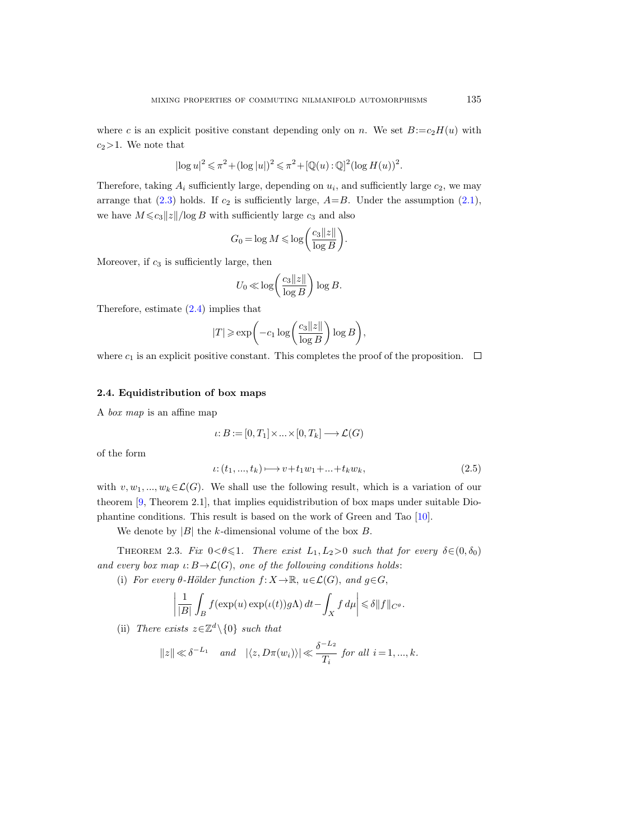where c is an explicit positive constant depending only on n. We set  $B:=c_2H(u)$  with  $c_2>1$ . We note that

$$
|\!\log u|^2 \leqslant \pi^2 + (\log|u|)^2 \leqslant \pi^2 + [\mathbb{Q}(u):\mathbb{Q}]^2 (\log H(u))^2.
$$

Therefore, taking  $A_i$  sufficiently large, depending on  $u_i$ , and sufficiently large  $c_2$ , we may arrange that  $(2.3)$  holds. If  $c_2$  is sufficiently large,  $A=B$ . Under the assumption  $(2.1)$ , we have  $M \leq c_3 ||z|| / \log B$  with sufficiently large  $c_3$  and also

$$
G_0 = \log M \le \log \left( \frac{c_3 ||z||}{\log B} \right).
$$

Moreover, if  $c_3$  is sufficiently large, then

$$
U_0 \ll \log\left(\frac{c_3 \|z\|}{\log B}\right) \log B.
$$

Therefore, estimate [\(2.4\)](#page-7-1) implies that

$$
|T| \ge \exp\biggl(-c_1 \log \biggl(\frac{c_3 \|z\|}{\log B}\biggr) \log B\biggr),\,
$$

where  $c_1$  is an explicit positive constant. This completes the proof of the proposition.  $\Box$ 

# <span id="page-8-0"></span>2.4. Equidistribution of box maps

A box map is an affine map

$$
\iota: B := [0, T_1] \times \ldots \times [0, T_k] \longrightarrow \mathcal{L}(G)
$$

of the form

$$
\iota: (t_1, ..., t_k) \longmapsto v + t_1 w_1 + ... + t_k w_k,
$$
\n(2.5)

with  $v, w_1, ..., w_k \in \mathcal{L}(G)$ . We shall use the following result, which is a variation of our theorem [\[9,](#page-31-17) Theorem 2.1], that implies equidistribution of box maps under suitable Diophantine conditions. This result is based on the work of Green and Tao [\[10\]](#page-31-18).

We denote by  $|B|$  the k-dimensional volume of the box B.

<span id="page-8-1"></span>THEOREM 2.3. Fix  $0 < \theta \leq 1$ . There exist  $L_1, L_2 > 0$  such that for every  $\delta \in (0, \delta_0)$ and every box map  $\iota: B \to \mathcal{L}(G)$ , one of the following conditions holds:

(i) For every  $\theta$ -Hölder function  $f: X \to \mathbb{R}$ ,  $u \in \mathcal{L}(G)$ , and  $g \in G$ ,

$$
\left|\frac{1}{|B|}\int_B f(\exp(u)\exp(\iota(t))g\Lambda)\,dt - \int_X f\,d\mu\right| \leq \delta \|f\|_{C^\theta}.
$$

(ii) There exists  $z \in \mathbb{Z}^d \setminus \{0\}$  such that

$$
||z|| \ll \delta^{-L_1} \quad \text{and} \quad |\langle z, D\pi(w_i) \rangle| \ll \frac{\delta^{-L_2}}{T_i} \text{ for all } i = 1, ..., k.
$$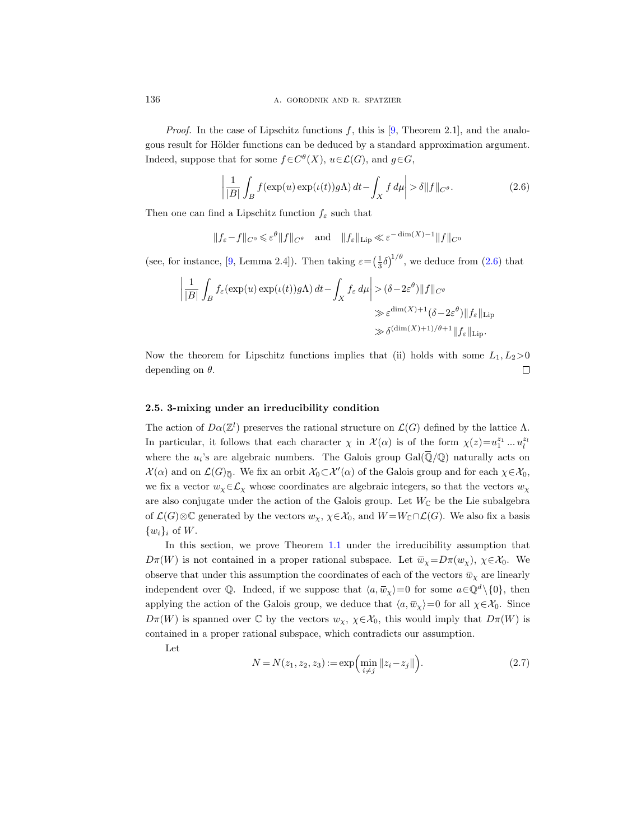*Proof.* In the case of Lipschitz functions  $f$ , this is [\[9,](#page-31-17) Theorem 2.1], and the analogous result for Hölder functions can be deduced by a standard approximation argument. Indeed, suppose that for some  $f \in C^{\theta}(X)$ ,  $u \in \mathcal{L}(G)$ , and  $g \in G$ ,

<span id="page-9-1"></span>
$$
\left| \frac{1}{|B|} \int_{B} f(\exp(u) \exp(\iota(t)) g\Lambda) \, dt - \int_{X} f \, d\mu \right| > \delta \| f \|_{C^{\theta}}. \tag{2.6}
$$

Then one can find a Lipschitz function  $f_{\varepsilon}$  such that

$$
||f_{\varepsilon}-f||_{C^0} \leq \varepsilon^{\theta}||f||_{C^{\theta}}
$$
 and  $||f_{\varepsilon}||_{\text{Lip}} \ll \varepsilon^{-\dim(X)-1}||f||_{C^0}$ 

(see, for instance, [\[9,](#page-31-17) Lemma 2.4]). Then taking  $\varepsilon = \left(\frac{1}{3}\delta\right)^{1/\theta}$ , we deduce from [\(2.6\)](#page-9-1) that

$$
\left| \frac{1}{|B|} \int_{B} f_{\varepsilon}(\exp(u) \exp(\iota(t)) g\Lambda) dt - \int_{X} f_{\varepsilon} d\mu \right| > (\delta - 2\varepsilon^{\theta}) \|f\|_{C^{\theta}}
$$
  

$$
\gg \varepsilon^{\dim(X) + 1} (\delta - 2\varepsilon^{\theta}) \|f_{\varepsilon}\|_{\text{Lip}}
$$
  

$$
\gg \delta^{(\dim(X) + 1)/\theta + 1} \|f_{\varepsilon}\|_{\text{Lip}}.
$$

Now the theorem for Lipschitz functions implies that (ii) holds with some  $L_1, L_2>0$ depending on  $\theta$ .  $\Box$ 

#### <span id="page-9-0"></span>2.5. 3-mixing under an irreducibility condition

The action of  $D\alpha(\mathbb{Z}^l)$  preserves the rational structure on  $\mathcal{L}(G)$  defined by the lattice  $\Lambda$ . In particular, it follows that each character  $\chi$  in  $\mathcal{X}(\alpha)$  is of the form  $\chi(z) = u_1^{z_1} \dots u_l^{z_l}$ where the  $u_i$ 's are algebraic numbers. The Galois group  $Gal(\overline{\mathbb{Q}}/\mathbb{Q})$  naturally acts on  $\mathcal{X}(\alpha)$  and on  $\mathcal{L}(G)_{\overline{\mathbb{Q}}}$ . We fix an orbit  $\mathcal{X}_0 \subset \mathcal{X}'(\alpha)$  of the Galois group and for each  $\chi \in \mathcal{X}_0$ , we fix a vector  $w_\chi \in \mathcal{L}_\chi$  whose coordinates are algebraic integers, so that the vectors  $w_\chi$ are also conjugate under the action of the Galois group. Let  $W_{\mathbb{C}}$  be the Lie subalgebra of  $\mathcal{L}(G)\otimes\mathbb{C}$  generated by the vectors  $w_{\chi}, \chi \in \mathcal{X}_0$ , and  $W = W_{\mathbb{C}} \cap \mathcal{L}(G)$ . We also fix a basis  $\{w_i\}_i$  of W.

In this section, we prove Theorem [1.1](#page-1-0) under the irreducibility assumption that  $D\pi(W)$  is not contained in a proper rational subspace. Let  $\bar{w}_\chi = D\pi(w_\chi)$ ,  $\chi \in \mathcal{X}_0$ . We observe that under this assumption the coordinates of each of the vectors  $\bar{w}_x$  are linearly independent over Q. Indeed, if we suppose that  $\langle a, \overline{w}_\chi \rangle = 0$  for some  $a \in \mathbb{Q}^d \setminus \{0\}$ , then applying the action of the Galois group, we deduce that  $\langle a, \overline{w}_\chi \rangle = 0$  for all  $\chi \in \mathcal{X}_0$ . Since  $D\pi(W)$  is spanned over  $\mathbb C$  by the vectors  $w_\chi$ ,  $\chi \in \mathcal X_0$ , this would imply that  $D\pi(W)$  is contained in a proper rational subspace, which contradicts our assumption.

Let

<span id="page-9-2"></span>
$$
N = N(z_1, z_2, z_3) := \exp\left(\min_{i \neq j} \|z_i - z_j\|\right).
$$
 (2.7)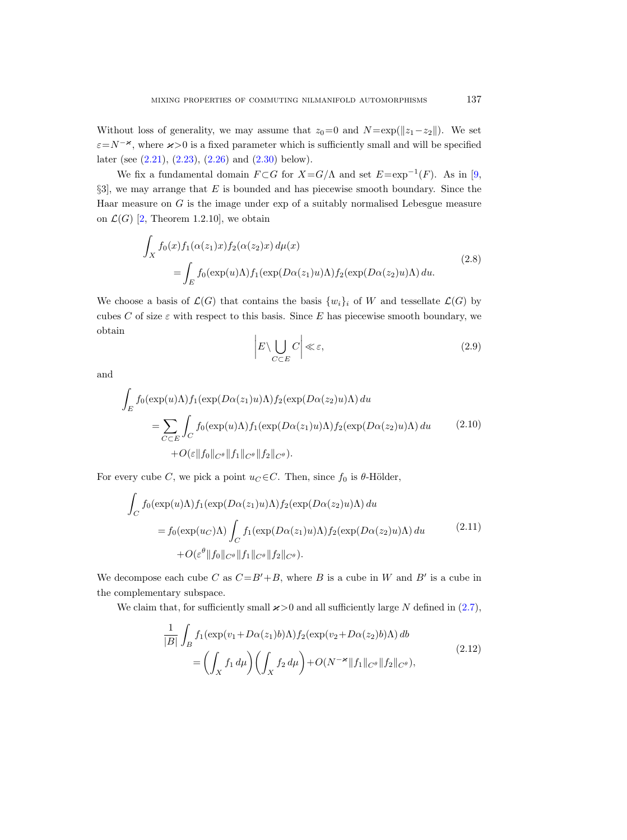Without loss of generality, we may assume that  $z_0=0$  and  $N = \exp(\Vert z_1 - z_2 \Vert)$ . We set  $\varepsilon = N^{-\varkappa}$ , where  $\varkappa > 0$  is a fixed parameter which is sufficiently small and will be specified later (see [\(2.21\)](#page-13-0), [\(2.23\)](#page-13-1), [\(2.26\)](#page-14-1) and [\(2.30\)](#page-15-0) below).

We fix a fundamental domain  $F \subset G$  for  $X = G/\Lambda$  and set  $E = \exp^{-1}(F)$ . As in [\[9,](#page-31-17)  $\S3$ , we may arrange that E is bounded and has piecewise smooth boundary. Since the Haar measure on  $G$  is the image under exp of a suitably normalised Lebesgue measure on  $\mathcal{L}(G)$  [\[2,](#page-31-16) Theorem 1.2.10], we obtain

$$
\int_{X} f_0(x) f_1(\alpha(z_1)x) f_2(\alpha(z_2)x) d\mu(x)
$$
\n
$$
= \int_{E} f_0(\exp(u)\Lambda) f_1(\exp(D\alpha(z_1)u)\Lambda) f_2(\exp(D\alpha(z_2)u)\Lambda) du.
$$
\n(2.8)

<span id="page-10-4"></span>We choose a basis of  $\mathcal{L}(G)$  that contains the basis  $\{w_i\}_i$  of W and tessellate  $\mathcal{L}(G)$  by cubes C of size  $\varepsilon$  with respect to this basis. Since E has piecewise smooth boundary, we obtain

<span id="page-10-3"></span>
$$
\left| E \setminus \bigcup_{C \subset E} C \right| \ll \varepsilon,\tag{2.9}
$$

and

<span id="page-10-1"></span>
$$
\int_{E} f_0(\exp(u)\Lambda) f_1(\exp(D\alpha(z_1)u)\Lambda) f_2(\exp(D\alpha(z_2)u)\Lambda) du
$$
\n
$$
= \sum_{C \subset E} \int_C f_0(\exp(u)\Lambda) f_1(\exp(D\alpha(z_1)u)\Lambda) f_2(\exp(D\alpha(z_2)u)\Lambda) du \qquad (2.10)
$$
\n
$$
+ O(\varepsilon \|f_0\|_{C^\theta} \|f_1\|_{C^\theta} \|f_2\|_{C^\theta}).
$$

For every cube C, we pick a point  $u_C \in C$ . Then, since  $f_0$  is  $\theta$ -Hölder,

<span id="page-10-2"></span>
$$
\int_C f_0(\exp(u)\Lambda) f_1(\exp(D\alpha(z_1)u)\Lambda) f_2(\exp(D\alpha(z_2)u)\Lambda) du
$$
  
=  $f_0(\exp(u_C)\Lambda) \int_C f_1(\exp(D\alpha(z_1)u)\Lambda) f_2(\exp(D\alpha(z_2)u)\Lambda) du$  (2.11)  
+  $O(\varepsilon^{\theta} ||f_0||_{C^{\theta}} ||f_1||_{C^{\theta}} ||f_2||_{C^{\theta}}).$ 

We decompose each cube C as  $C = B' + B$ , where B is a cube in W and B' is a cube in the complementary subspace.

<span id="page-10-0"></span>We claim that, for sufficiently small  $\varkappa>0$  and all sufficiently large N defined in [\(2.7\)](#page-9-2),

$$
\frac{1}{|B|} \int_B f_1(\exp(v_1 + D\alpha(z_1)b)\Lambda) f_2(\exp(v_2 + D\alpha(z_2)b)\Lambda) db
$$
\n
$$
= \left(\int_X f_1 d\mu\right) \left(\int_X f_2 d\mu\right) + O(N^{-\varkappa} \|f_1\|_{C^\theta} \|f_2\|_{C^\theta}),
$$
\n(2.12)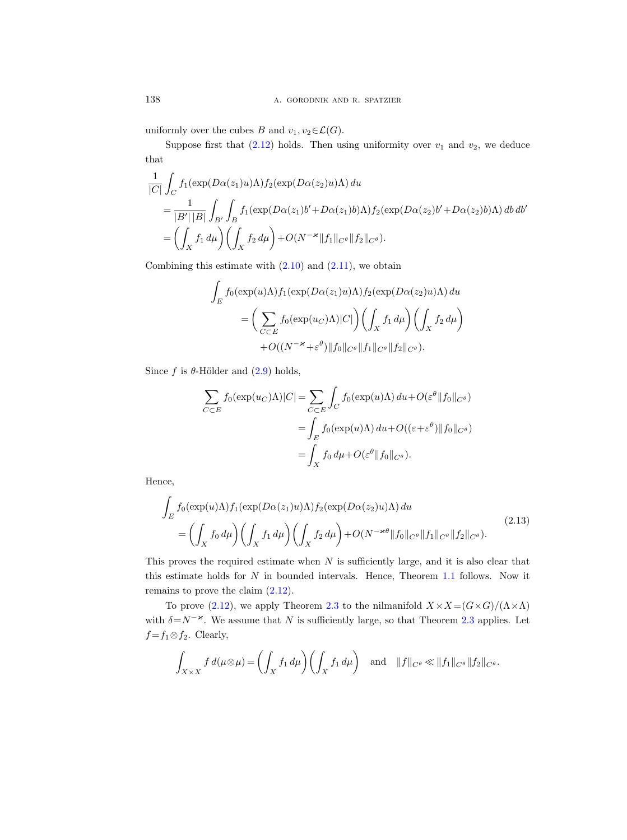uniformly over the cubes B and  $v_1, v_2 \in \mathcal{L}(G)$ .

Suppose first that  $(2.12)$  holds. Then using uniformity over  $v_1$  and  $v_2$ , we deduce that

$$
\frac{1}{|C|} \int_C f_1(\exp(D\alpha(z_1)u)\Lambda) f_2(\exp(D\alpha(z_2)u)\Lambda) du
$$
  
= 
$$
\frac{1}{|B'| |B|} \int_{B'} \int_B f_1(\exp(D\alpha(z_1) b' + D\alpha(z_1) b)\Lambda) f_2(\exp(D\alpha(z_2) b' + D\alpha(z_2) b)\Lambda) db db'
$$
  
= 
$$
\left(\int_X f_1 d\mu\right) \left(\int_X f_2 d\mu\right) + O(N^{-\varkappa} \|f_1\|_{C^\theta} \|f_2\|_{C^\theta}).
$$

Combining this estimate with  $(2.10)$  and  $(2.11)$ , we obtain

$$
\int_{E} f_0(\exp(u)\Lambda) f_1(\exp(D\alpha(z_1)u)\Lambda) f_2(\exp(D\alpha(z_2)u)\Lambda) du
$$
  
= 
$$
\left(\sum_{C \subset E} f_0(\exp(u_C)\Lambda) |C|\right) \left(\int_X f_1 d\mu\right) \left(\int_X f_2 d\mu\right)
$$
  
+ 
$$
O((N^{-\varkappa} + \varepsilon^{\theta}) ||f_0||_{C^{\theta}} ||f_1||_{C^{\theta}} ||f_2||_{C^{\theta}}).
$$

Since f is  $\theta$ -Hölder and [\(2.9\)](#page-10-3) holds,

$$
\sum_{C \subset E} f_0(\exp(u_C)\Lambda)|C| = \sum_{C \subset E} \int_C f_0(\exp(u)\Lambda) du + O(\varepsilon^{\theta} ||f_0||_{C^{\theta}})
$$

$$
= \int_E f_0(\exp(u)\Lambda) du + O((\varepsilon + \varepsilon^{\theta}) ||f_0||_{C^{\theta}})
$$

$$
= \int_X f_0 d\mu + O(\varepsilon^{\theta} ||f_0||_{C^{\theta}}).
$$

Hence,

<span id="page-11-0"></span>
$$
\int_{E} f_0(\exp(u)\Lambda) f_1(\exp(D\alpha(z_1)u)\Lambda) f_2(\exp(D\alpha(z_2)u)\Lambda) du
$$
\n
$$
= \left(\int_X f_0 d\mu\right) \left(\int_X f_1 d\mu\right) \left(\int_X f_2 d\mu\right) + O(N^{-\varkappa\theta} \|f_0\|_{C^\theta} \|f_1\|_{C^\theta} \|f_2\|_{C^\theta}).
$$
\n(2.13)

This proves the required estimate when  $N$  is sufficiently large, and it is also clear that this estimate holds for N in bounded intervals. Hence, Theorem [1.1](#page-1-0) follows. Now it remains to prove the claim [\(2.12\)](#page-10-0).

To prove [\(2.12\)](#page-10-0), we apply Theorem [2.3](#page-8-1) to the nilmanifold  $X \times X = (G \times G)/(\Lambda \times \Lambda)$ with  $\delta = N^{-\varkappa}$ . We assume that N is sufficiently large, so that Theorem [2.3](#page-8-1) applies. Let  $f = f_1 \otimes f_2$ . Clearly,

$$
\int_{X\times X} f d(\mu\otimes\mu) = \left(\int_X f_1 d\mu\right) \left(\int_X f_1 d\mu\right) \quad \text{and} \quad ||f||_{C^\theta} \ll ||f_1||_{C^\theta} ||f_2||_{C^\theta}.
$$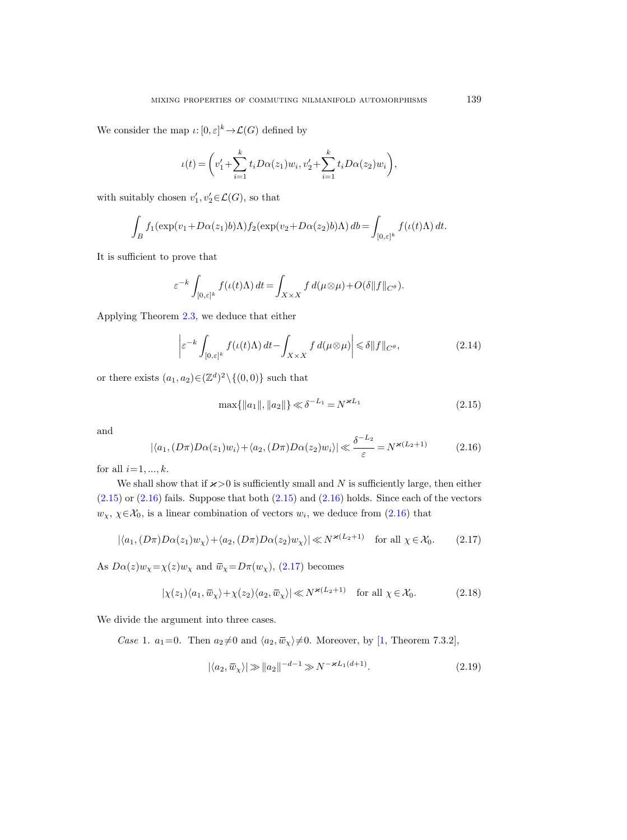We consider the map  $\iota: [0, \varepsilon]^k \to \mathcal{L}(G)$  defined by

$$
\iota(t) = \left(v_1' + \sum_{i=1}^k t_i D\alpha(z_1) w_i, v_2' + \sum_{i=1}^k t_i D\alpha(z_2) w_i\right),
$$

with suitably chosen  $v'_1, v'_2 \in \mathcal{L}(G)$ , so that

$$
\int_B f_1(\exp(v_1+D\alpha(z_1)b)\Lambda)f_2(\exp(v_2+D\alpha(z_2)b)\Lambda) db = \int_{[0,\varepsilon]^k} f(\iota(t)\Lambda) dt.
$$

It is sufficient to prove that

$$
\varepsilon^{-k} \int_{[0,\varepsilon]^k} f(\iota(t)\Lambda) dt = \int_{X\times X} f d(\mu \otimes \mu) + O(\delta \|f\|_{C^\theta}).
$$

Applying Theorem [2.3,](#page-8-1) we deduce that either

<span id="page-12-5"></span>
$$
\left| \varepsilon^{-k} \int_{[0,\varepsilon]^k} f(\iota(t)\Lambda) \, dt - \int_{X \times X} f \, d(\mu \otimes \mu) \right| \leq \delta \|f\|_{C^\theta},\tag{2.14}
$$

or there exists  $(a_1, a_2) \in (\mathbb{Z}^d)^2 \setminus \{(0, 0)\}\$  such that

<span id="page-12-0"></span>
$$
\max\{\|a_1\|, \|a_2\|\} \ll \delta^{-L_1} = N^{\varkappa L_1} \tag{2.15}
$$

and

<span id="page-12-1"></span>
$$
|\langle a_1, (D\pi)D\alpha(z_1)w_i \rangle + \langle a_2, (D\pi)D\alpha(z_2)w_i \rangle| \ll \frac{\delta^{-L_2}}{\varepsilon} = N^{\varkappa(L_2+1)} \tag{2.16}
$$

for all  $i=1, ..., k$ .

We shall show that if  $\varkappa > 0$  is sufficiently small and N is sufficiently large, then either  $(2.15)$  or  $(2.16)$  fails. Suppose that both  $(2.15)$  and  $(2.16)$  holds. Since each of the vectors  $w_{\chi}, \chi \in \mathcal{X}_0$ , is a linear combination of vectors  $w_i$ , we deduce from  $(2.16)$  that

<span id="page-12-2"></span>
$$
|\langle a_1, (D\pi)D\alpha(z_1)w_\chi\rangle + \langle a_2, (D\pi)D\alpha(z_2)w_\chi\rangle| \ll N^{\varkappa(L_2+1)} \quad \text{for all } \chi \in \mathcal{X}_0. \tag{2.17}
$$

As  $D\alpha(z)w_{\chi}=\chi(z)w_{\chi}$  and  $\bar{w}_{\chi}=D\pi(w_{\chi})$ , [\(2.17\)](#page-12-2) becomes

<span id="page-12-3"></span>
$$
|\chi(z_1)\langle a_1, \overline{w}_\chi\rangle + \chi(z_2)\langle a_2, \overline{w}_\chi\rangle| \ll N^{*(L_2+1)} \quad \text{for all } \chi \in \mathcal{X}_0. \tag{2.18}
$$

We divide the argument into three cases.

Case 1.  $a_1=0$ . Then  $a_2\neq 0$  and  $\langle a_2, \bar{w}_\chi \rangle \neq 0$ . Moreover, by [\[1,](#page-31-19) Theorem 7.3.2],

<span id="page-12-4"></span>
$$
|\langle a_2, \overline{w}_\chi \rangle| \gg ||a_2||^{-d-1} \gg N^{-\varkappa L_1(d+1)}.
$$
 (2.19)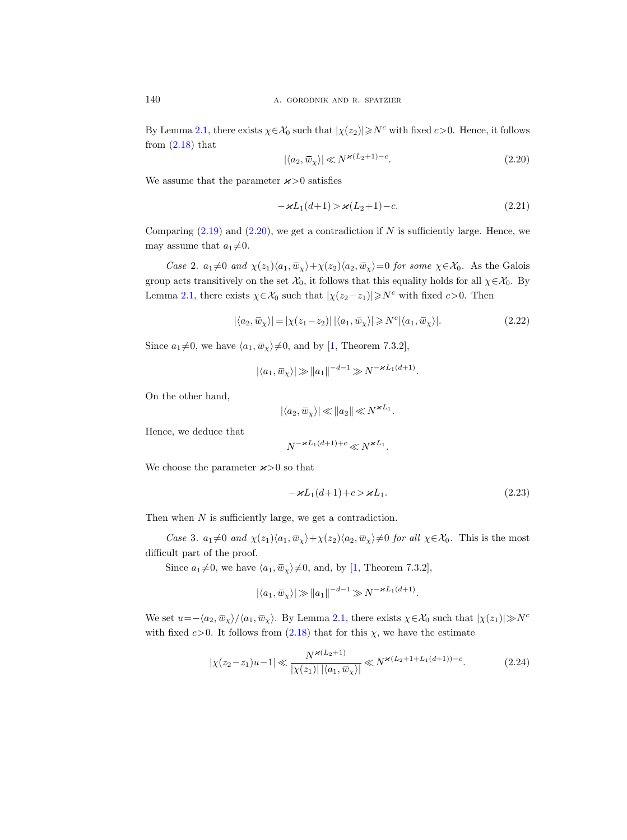By Lemma [2.1,](#page-5-1) there exists  $\chi \in \mathcal{X}_0$  such that  $|\chi(z_2)| \geq N^c$  with fixed  $c > 0$ . Hence, it follows from  $(2.18)$  that

<span id="page-13-2"></span>
$$
|\langle a_2, \overline{w}_\chi \rangle| \ll N^{\varkappa (L_2 + 1) - c}.\tag{2.20}
$$

We assume that the parameter  $x > 0$  satisfies

<span id="page-13-0"></span>
$$
-\varkappa L_1(d+1) > \varkappa (L_2+1) - c. \tag{2.21}
$$

Comparing  $(2.19)$  and  $(2.20)$ , we get a contradiction if N is sufficiently large. Hence, we may assume that  $a_1 \neq 0$ .

Case 2.  $a_1 \neq 0$  and  $\chi(z_1)\langle a_1, \overline{w}_\chi\rangle + \chi(z_2)\langle a_2, \overline{w}_\chi\rangle = 0$  for some  $\chi \in \mathcal{X}_0$ . As the Galois group acts transitively on the set  $\mathcal{X}_0$ , it follows that this equality holds for all  $\chi \in \mathcal{X}_0$ . By Lemma [2.1,](#page-5-1) there exists  $\chi \in \mathcal{X}_0$  such that  $|\chi(z_2-z_1)| \geq N^c$  with fixed  $c > 0$ . Then

$$
|\langle a_2, \overline{w}_\chi \rangle| = |\chi(z_1 - z_2)| \, |\langle a_1, \overline{w}_\chi \rangle| \ge N^c |\langle a_1, \overline{w}_\chi \rangle|.
$$
 (2.22)

Since  $a_1 \neq 0$ , we have  $\langle a_1, \overline{w}_\chi \rangle \neq 0$ , and by [\[1,](#page-31-19) Theorem 7.3.2],

$$
|\langle a_1,\overline{w}_\chi\rangle| \gg ||a_1||^{-d-1} \gg N^{-\varkappa L_1(d+1)}.
$$

On the other hand,

$$
|\langle a_2, \overline{w}_\chi \rangle| \ll |a_2| \ll N^{\varkappa L_1}.
$$

Hence, we deduce that

$$
N^{-\varkappa L_1(d+1)+c}\!\ll\!N^{\varkappa L_1}.
$$

We choose the parameter  $x > 0$  so that

<span id="page-13-1"></span>
$$
-\varkappa L_1(d+1) + c > \varkappa L_1. \tag{2.23}
$$

Then when N is sufficiently large, we get a contradiction.

Case 3.  $a_1\neq 0$  and  $\chi(z_1)\langle a_1, \overline{w}_\chi\rangle+\chi(z_2)\langle a_2, \overline{w}_\chi\rangle\neq 0$  for all  $\chi\in\mathcal{X}_0$ . This is the most difficult part of the proof.

Since  $a_1 \neq 0$ , we have  $\langle a_1, \overline{w}_\chi \rangle \neq 0$ , and, by [\[1,](#page-31-19) Theorem 7.3.2],

$$
|\langle a_1, \overline{w}_\chi \rangle| \gg ||a_1||^{-d-1} \gg N^{-\varkappa L_1(d+1)}.
$$

We set  $u=-\langle a_2, \bar{w}_\chi\rangle/\langle a_1, \bar{w}_\chi\rangle$ . By Lemma [2.1,](#page-5-1) there exists  $\chi \in \mathcal{X}_0$  such that  $|\chi(z_1)| \gg N^c$ with fixed  $c>0$ . It follows from  $(2.18)$  that for this  $\chi$ , we have the estimate

<span id="page-13-3"></span>
$$
|\chi(z_2 - z_1)u - 1| \ll \frac{N^{\varkappa(L_2 + 1)}}{|\chi(z_1)||\langle a_1, \bar{w}_\chi\rangle|} \ll N^{\varkappa(L_2 + 1 + L_1(d+1)) - c}.
$$
 (2.24)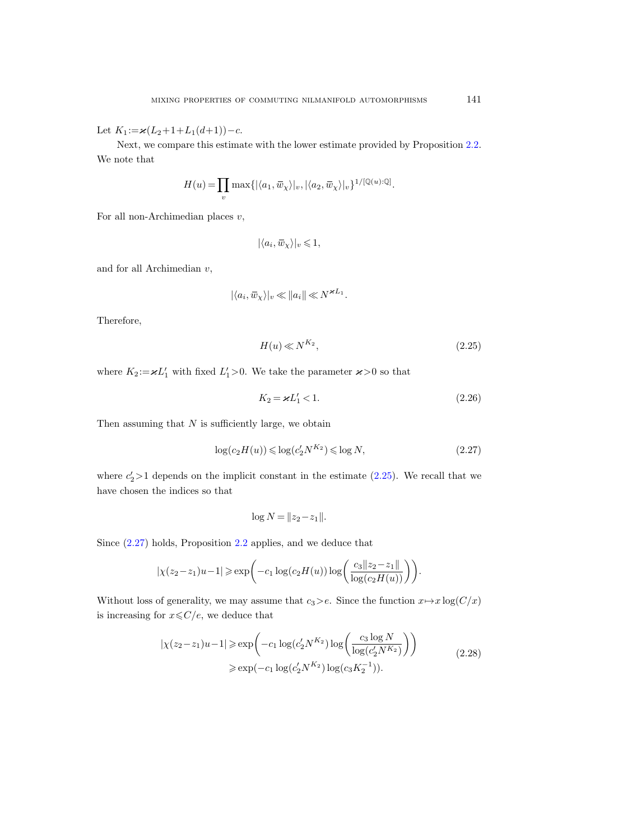Let  $K_1 := \varkappa(L_2+1+L_1(d+1))-c$ .

Next, we compare this estimate with the lower estimate provided by Proposition [2.2.](#page-6-0) We note that

$$
H(u) = \prod_{v} \max\{|\langle a_1, \overline{w}_{\chi} \rangle|_{v}, |\langle a_2, \overline{w}_{\chi} \rangle|_{v}\}^{1/[\mathbb{Q}(u):\mathbb{Q}]}.
$$

For all non-Archimedian places  $v$ ,

$$
|\langle a_i,\bar{w}_\chi\rangle|_v\leqslant 1,
$$

and for all Archimedian  $v$ ,

$$
|\langle a_i, \overline{w}_{\chi} \rangle|_v \ll ||a_i|| \ll N^{\varkappa L_1}.
$$

Therefore,

<span id="page-14-2"></span>
$$
H(u) \ll N^{K_2},\tag{2.25}
$$

where  $K_2:=\varkappa L_1'$  with fixed  $L_1' > 0$ . We take the parameter  $\varkappa > 0$  so that

<span id="page-14-1"></span>
$$
K_2 = \varkappa L_1' < 1. \tag{2.26}
$$

Then assuming that  $N$  is sufficiently large, we obtain

<span id="page-14-3"></span>
$$
\log(c_2 H(u)) \leqslant \log(c'_2 N^{K_2}) \leqslant \log N,\tag{2.27}
$$

where  $c_2' > 1$  depends on the implicit constant in the estimate [\(2.25\)](#page-14-2). We recall that we have chosen the indices so that

$$
\log N = ||z_2 - z_1||.
$$

Since [\(2.27\)](#page-14-3) holds, Proposition [2.2](#page-6-0) applies, and we deduce that

$$
|\chi(z_2 - z_1)u - 1| \ge \exp\left(-c_1 \log(c_2 H(u)) \log\left(\frac{c_3 ||z_2 - z_1||}{\log(c_2 H(u))}\right)\right).
$$

<span id="page-14-0"></span>Without loss of generality, we may assume that  $c_3>e$ . Since the function  $x \mapsto x \log(C/x)$ is increasing for  $x\!\leqslant\!C/e,$  we deduce that

$$
|\chi(z_2 - z_1)u - 1| \ge \exp\left(-c_1 \log(c'_2 N^{K_2}) \log\left(\frac{c_3 \log N}{\log(c'_2 N^{K_2})}\right)\right)
$$
  
 
$$
\ge \exp(-c_1 \log(c'_2 N^{K_2}) \log(c_3 K_2^{-1})).
$$
 (2.28)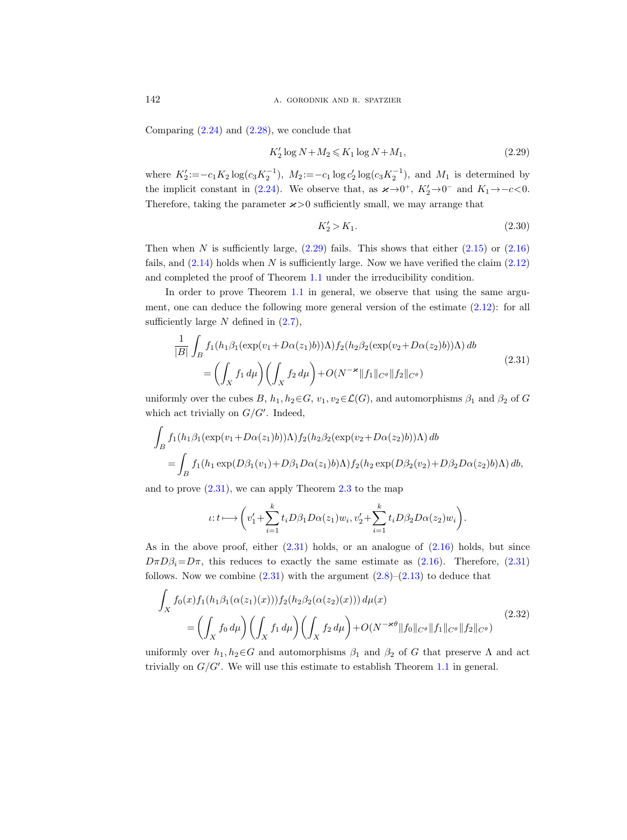Comparing  $(2.24)$  and  $(2.28)$ , we conclude that

<span id="page-15-1"></span>
$$
K_2' \log N + M_2 \leqslant K_1 \log N + M_1,\tag{2.29}
$$

where  $K_2' := -c_1 K_2 \log(c_3 K_2^{-1}), M_2 := -c_1 \log c_2' \log(c_3 K_2^{-1}), \text{ and } M_1 \text{ is determined by}$ the implicit constant in [\(2.24\)](#page-13-3). We observe that, as  $\varkappa \to 0^+$ ,  $K_2' \to 0^-$  and  $K_1 \to -c < 0$ . Therefore, taking the parameter  $\varkappa > 0$  sufficiently small, we may arrange that

<span id="page-15-0"></span>
$$
K_2' > K_1. \t\t(2.30)
$$

Then when N is sufficiently large,  $(2.29)$  fails. This shows that either  $(2.15)$  or  $(2.16)$ fails, and  $(2.14)$  holds when N is sufficiently large. Now we have verified the claim  $(2.12)$ and completed the proof of Theorem [1.1](#page-1-0) under the irreducibility condition.

In order to prove Theorem [1.1](#page-1-0) in general, we observe that using the same argument, one can deduce the following more general version of the estimate [\(2.12\)](#page-10-0): for all sufficiently large  $N$  defined in  $(2.7)$ ,

<span id="page-15-2"></span>
$$
\frac{1}{|B|} \int_{B} f_1(h_1 \beta_1(\exp(v_1 + D\alpha(z_1)b))\Lambda) f_2(h_2 \beta_2(\exp(v_2 + D\alpha(z_2)b))\Lambda) db
$$
\n
$$
= \left(\int_X f_1 d\mu\right) \left(\int_X f_2 d\mu\right) + O(N^{-\varkappa} \|f_1\|_{C^\theta} \|f_2\|_{C^\theta})
$$
\n(2.31)

uniformly over the cubes B,  $h_1, h_2 \in G$ ,  $v_1, v_2 \in \mathcal{L}(G)$ , and automorphisms  $\beta_1$  and  $\beta_2$  of G which act trivially on  $G/G'$ . Indeed,

$$
\int_{B} f_1(h_1\beta_1(\exp(v_1+D\alpha(z_1)b))\Lambda) f_2(h_2\beta_2(\exp(v_2+D\alpha(z_2)b))\Lambda) db
$$
  
= 
$$
\int_{B} f_1(h_1 \exp(D\beta_1(v_1)+D\beta_1 D\alpha(z_1)b)\Lambda) f_2(h_2 \exp(D\beta_2(v_2)+D\beta_2 D\alpha(z_2)b)\Lambda) db,
$$

and to prove  $(2.31)$  $(2.31)$  $(2.31)$ , we can apply Theorem  $2.3$  to the map

$$
\iota: t \longmapsto \left(v_1' + \sum_{i=1}^k t_i D\beta_1 D\alpha(z_1)w_i, v_2' + \sum_{i=1}^k t_i D\beta_2 D\alpha(z_2)w_i\right).
$$

As in the above proof, either [\(2.31\)](#page-15-2) holds, or an analogue of [\(2.16\)](#page-12-1) holds, but since  $D\pi D\beta_i = D\pi$ , this reduces to exactly the same estimate as [\(2.16\)](#page-12-1). Therefore, [\(2.31\)](#page-15-2) follows. Now we combine  $(2.31)$  with the argument  $(2.8)$ – $(2.13)$  to deduce that

<span id="page-15-3"></span>
$$
\int_{X} f_0(x) f_1(h_1 \beta_1(\alpha(z_1)(x))) f_2(h_2 \beta_2(\alpha(z_2)(x))) d\mu(x)
$$
\n
$$
= \left( \int_X f_0 d\mu \right) \left( \int_X f_1 d\mu \right) \left( \int_X f_2 d\mu \right) + O(N^{-\varkappa \theta} \|f_0\|_{C^\theta} \|f_1\|_{C^\theta} \|f_2\|_{C^\theta})
$$
\n(2.32)

uniformly over  $h_1, h_2 \in G$  and automorphisms  $\beta_1$  and  $\beta_2$  of G that preserve  $\Lambda$  and act trivially on  $G/G'$ . We will use this estimate to establish Theorem [1.1](#page-1-0) in general.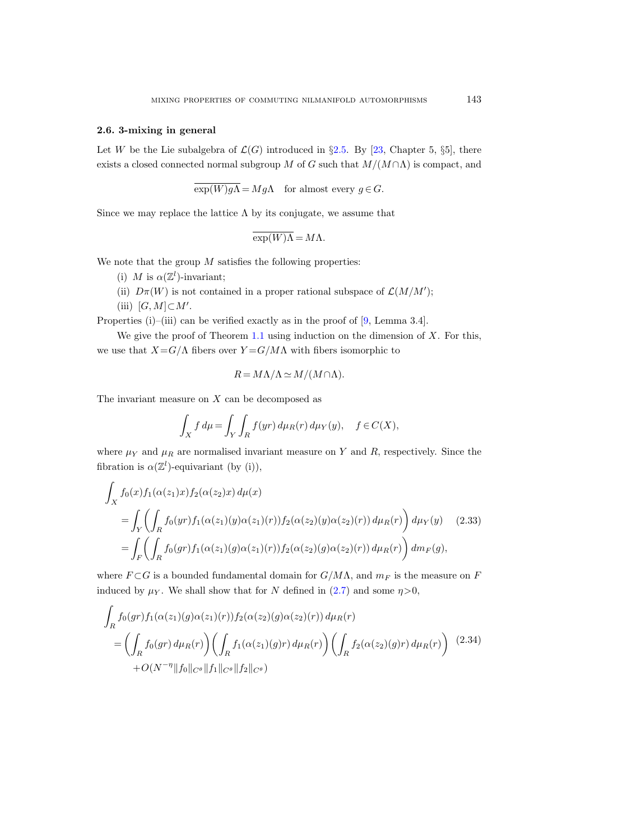## <span id="page-16-0"></span>2.6. 3-mixing in general

Let W be the Lie subalgebra of  $\mathcal{L}(G)$  introduced in §[2.5.](#page-9-0) By [\[23,](#page-32-4) Chapter 5, §5], there exists a closed connected normal subgroup M of G such that  $M/(M \cap \Lambda)$  is compact, and

$$
\overline{\exp(W)g\Lambda} = Mg\Lambda \quad \text{for almost every } g \in G.
$$

Since we may replace the lattice  $\Lambda$  by its conjugate, we assume that

$$
\overline{\exp(W)}\overline{\Lambda} = M\Lambda.
$$

We note that the group  $M$  satisfies the following properties:

- (i) M is  $\alpha(\mathbb{Z}^l)$ -invariant;
- (ii)  $D\pi(W)$  is not contained in a proper rational subspace of  $\mathcal{L}(M/M')$ ;
- (iii)  $[G, M] \subset M'.$

Properties (i)–(iii) can be verified exactly as in the proof of [\[9,](#page-31-17) Lemma 3.4].

We give the proof of Theorem [1.1](#page-1-0) using induction on the dimension of  $X$ . For this, we use that  $X = G/\Lambda$  fibers over  $Y = G/M\Lambda$  with fibers isomorphic to

$$
R = M\Lambda/\Lambda \simeq M/(M\cap\Lambda).
$$

The invariant measure on  $X$  can be decomposed as

$$
\int_X f d\mu = \int_Y \int_R f(yr) d\mu_R(r) d\mu_Y(y), \quad f \in C(X),
$$

where  $\mu_Y$  and  $\mu_R$  are normalised invariant measure on Y and R, respectively. Since the fibration is  $\alpha(\mathbb{Z}^l)$ -equivariant (by (i)),

<span id="page-16-2"></span>
$$
\int_{X} f_{0}(x) f_{1}(\alpha(z_{1})x) f_{2}(\alpha(z_{2})x) d\mu(x)
$$
\n
$$
= \int_{Y} \left( \int_{R} f_{0}(yr) f_{1}(\alpha(z_{1})(y) \alpha(z_{1})(r)) f_{2}(\alpha(z_{2})(y) \alpha(z_{2})(r)) d\mu_{R}(r) \right) d\mu_{Y}(y) \quad (2.33)
$$
\n
$$
= \int_{F} \left( \int_{R} f_{0}(gr) f_{1}(\alpha(z_{1})(g) \alpha(z_{1})(r)) f_{2}(\alpha(z_{2})(g) \alpha(z_{2})(r)) d\mu_{R}(r) \right) dm_{F}(g),
$$

where  $F \subset G$  is a bounded fundamental domain for  $G/M\Lambda$ , and  $m_F$  is the measure on F induced by  $\mu_Y$ . We shall show that for N defined in [\(2.7\)](#page-9-2) and some  $\eta > 0$ ,

<span id="page-16-1"></span>
$$
\int_{R} f_0(gr) f_1(\alpha(z_1)(g)\alpha(z_1)(r)) f_2(\alpha(z_2)(g)\alpha(z_2)(r)) d\mu_R(r)
$$
\n
$$
= \left( \int_{R} f_0(gr) d\mu_R(r) \right) \left( \int_{R} f_1(\alpha(z_1)(g)r) d\mu_R(r) \right) \left( \int_{R} f_2(\alpha(z_2)(g)r) d\mu_R(r) \right) (2.34)
$$
\n
$$
+ O(N^{-\eta} \|f_0\|_{C^\theta} \|f_1\|_{C^\theta} \|f_2\|_{C^\theta})
$$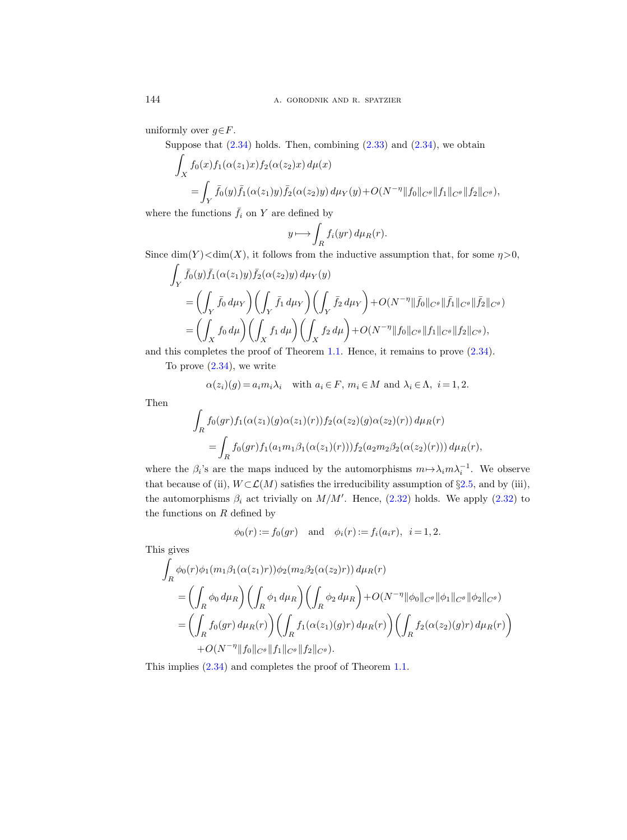uniformly over  $g \in F$ .

Suppose that  $(2.34)$  holds. Then, combining  $(2.33)$  and  $(2.34)$ , we obtain

$$
\int_X f_0(x) f_1(\alpha(z_1)x) f_2(\alpha(z_2)x) d\mu(x)
$$
\n
$$
= \int_Y \bar{f}_0(y) \bar{f}_1(\alpha(z_1)y) \bar{f}_2(\alpha(z_2)y) d\mu_Y(y) + O(N^{-\eta} ||f_0||_{C^\theta} ||f_1||_{C^\theta} ||f_2||_{C^\theta}),
$$

where the functions  $f_i$  on Y are defined by

$$
y \longmapsto \int_{R} f_i(yr) \, d\mu_R(r).
$$

Since  $\dim(Y) < \dim(X)$ , it follows from the inductive assumption that, for some  $\eta > 0$ ,

$$
\int_{Y} \bar{f}_{0}(y)\bar{f}_{1}(\alpha(z_{1})y)\bar{f}_{2}(\alpha(z_{2})y) d\mu_{Y}(y) \n= \left(\int_{Y} \bar{f}_{0} d\mu_{Y}\right) \left(\int_{Y} \bar{f}_{1} d\mu_{Y}\right) \left(\int_{Y} \bar{f}_{2} d\mu_{Y}\right) + O(N^{-\eta} \|\bar{f}_{0}\|_{C^{\theta}} \|\bar{f}_{1}\|_{C^{\theta}} \|\bar{f}_{2}\|_{C^{\theta}}) \n= \left(\int_{X} f_{0} d\mu\right) \left(\int_{X} f_{1} d\mu\right) \left(\int_{X} f_{2} d\mu\right) + O(N^{-\eta} \|f_{0}\|_{C^{\theta}} \|f_{1}\|_{C^{\theta}} \|f_{2}\|_{C^{\theta}}),
$$

and this completes the proof of Theorem [1.1.](#page-1-0) Hence, it remains to prove [\(2.34\)](#page-16-1).

To prove  $(2.34)$ , we write

$$
\alpha(z_i)(g) = a_i m_i \lambda_i
$$
 with  $a_i \in F$ ,  $m_i \in M$  and  $\lambda_i \in \Lambda$ ,  $i = 1, 2$ .

Then

$$
\int_{R} f_0(gr) f_1(\alpha(z_1)(g)\alpha(z_1)(r)) f_2(\alpha(z_2)(g)\alpha(z_2)(r)) d\mu_R(r)
$$
  
= 
$$
\int_{R} f_0(gr) f_1(a_1m_1\beta_1(\alpha(z_1)(r))) f_2(a_2m_2\beta_2(\alpha(z_2)(r))) d\mu_R(r),
$$

where the  $\beta_i$ 's are the maps induced by the automorphisms  $m \mapsto \lambda_i m \lambda_i^{-1}$ . We observe that because of (ii),  $W\subset\mathcal{L}(M)$  satisfies the irreducibility assumption of §[2.5,](#page-9-0) and by (iii), the automorphisms  $\beta_i$  act trivially on  $M/M'$ . Hence,  $(2.32)$  holds. We apply  $(2.32)$  to the functions on  $R$  defined by

$$
\phi_0(r) := f_0(gr)
$$
 and  $\phi_i(r) := f_i(a_ir), i = 1, 2.$ 

This gives

$$
\int_{R} \phi_0(r)\phi_1(m_1\beta_1(\alpha(z_1)r))\phi_2(m_2\beta_2(\alpha(z_2)r)) d\mu_R(r)
$$
\n
$$
= \left(\int_{R} \phi_0 d\mu_R\right) \left(\int_{R} \phi_1 d\mu_R\right) \left(\int_{R} \phi_2 d\mu_R\right) + O(N^{-\eta} \|\phi_0\|_{C^\theta} \|\phi_1\|_{C^\theta} \|\phi_2\|_{C^\theta})
$$
\n
$$
= \left(\int_{R} f_0(gr) d\mu_R(r)\right) \left(\int_{R} f_1(\alpha(z_1)(g)r) d\mu_R(r)\right) \left(\int_{R} f_2(\alpha(z_2)(g)r) d\mu_R(r)\right)
$$
\n
$$
+ O(N^{-\eta} \|f_0\|_{C^\theta} \|f_1\|_{C^\theta} \|f_2\|_{C^\theta}).
$$

This implies [\(2.34\)](#page-16-1) and completes the proof of Theorem [1.1.](#page-1-0)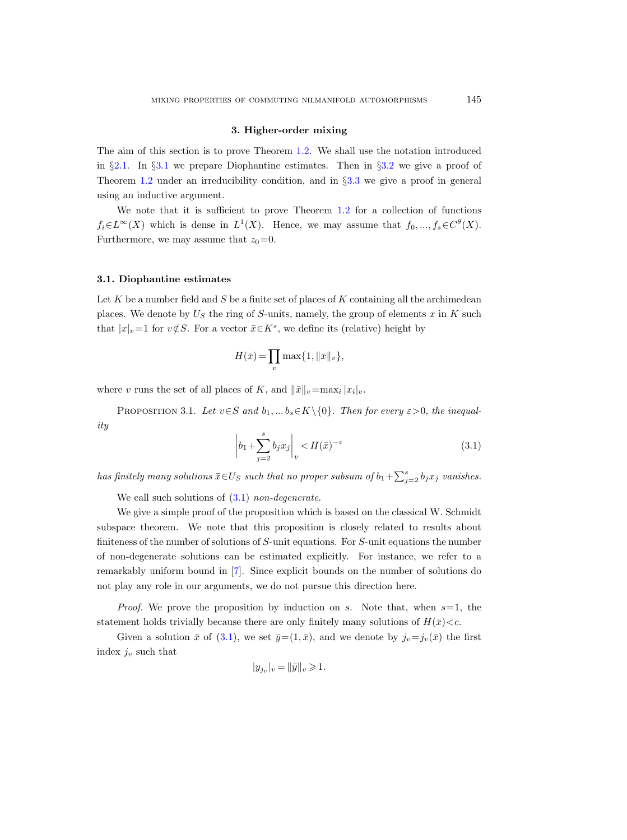## 3. Higher-order mixing

The aim of this section is to prove Theorem [1.2.](#page-1-1) We shall use the notation introduced in  $\S 2.1$ . In  $\S 3.1$  $\S 3.1$  we prepare Diophantine estimates. Then in  $\S 3.2$  $\S 3.2$  we give a proof of Theorem [1.2](#page-1-1) under an irreducibility condition, and in §[3.3](#page-25-0) we give a proof in general using an inductive argument.

We note that it is sufficient to prove Theorem [1.2](#page-1-1) for a collection of functions  $f_i \in L^{\infty}(X)$  which is dense in  $L^1(X)$ . Hence, we may assume that  $f_0, ..., f_s \in C^{\theta}(X)$ . Furthermore, we may assume that  $z_0=0$ .

#### <span id="page-18-1"></span>3.1. Diophantine estimates

Let  $K$  be a number field and  $S$  be a finite set of places of  $K$  containing all the archimedean places. We denote by  $U_S$  the ring of S-units, namely, the group of elements x in K such that  $|x|_v=1$  for  $v \notin S$ . For a vector  $\bar{x} \in K^s$ , we define its (relative) height by

$$
H(\bar{x}) = \prod_{v} \max\{1, \|\bar{x}\|_v\},\
$$

where v runs the set of all places of K, and  $\|\bar{x}\|_v=\max_i |x_i|_v$ .

<span id="page-18-0"></span>PROPOSITION 3.1. Let  $v \in S$  and  $b_1, \ldots, b_s \in K \setminus \{0\}$ . Then for every  $\varepsilon > 0$ , the inequality

<span id="page-18-2"></span>
$$
\left| b_1 + \sum_{j=2}^s b_j x_j \right|_v < H(\bar{x})^{-\varepsilon}
$$
\n(3.1)

has finitely many solutions  $\bar{x} \in U_S$  such that no proper subsum of  $b_1 + \sum_{j=2}^s b_j x_j$  vanishes.

We call such solutions of  $(3.1)$  non-degenerate.

We give a simple proof of the proposition which is based on the classical W. Schmidt subspace theorem. We note that this proposition is closely related to results about finiteness of the number of solutions of S-unit equations. For S-unit equations the number of non-degenerate solutions can be estimated explicitly. For instance, we refer to a remarkably uniform bound in [\[7\]](#page-31-20). Since explicit bounds on the number of solutions do not play any role in our arguments, we do not pursue this direction here.

*Proof.* We prove the proposition by induction on s. Note that, when  $s=1$ , the statement holds trivially because there are only finitely many solutions of  $H(\bar{x})< c$ .

Given a solution  $\bar{x}$  of [\(3.1\)](#page-18-2), we set  $\bar{y}=(1,\bar{x})$ , and we denote by  $j_v=j_v(\bar{x})$  the first index  $j_v$  such that

$$
|y_{j_v}|_v = ||\bar{y}||_v \geq 1.
$$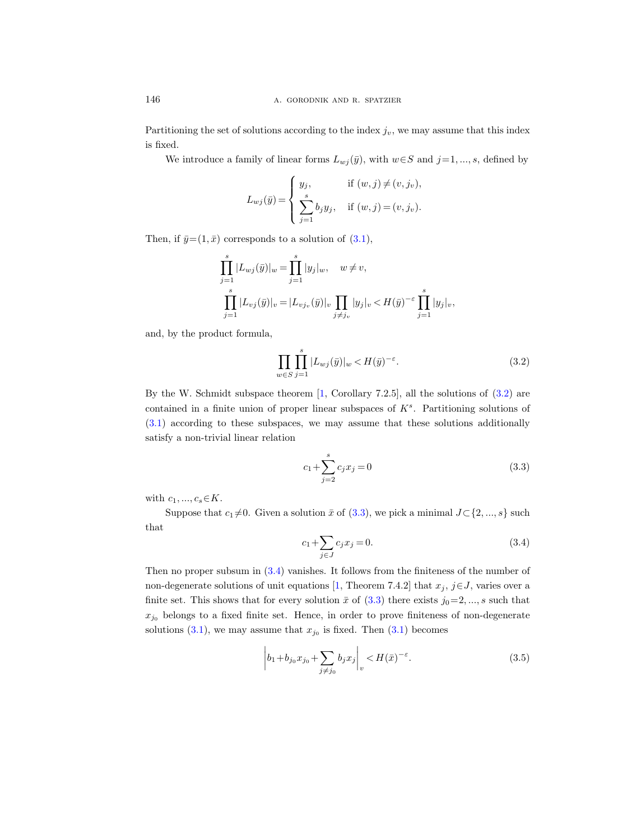Partitioning the set of solutions according to the index  $j_v$ , we may assume that this index is fixed.

We introduce a family of linear forms  $L_{wj}(\bar{y})$ , with  $w \in S$  and  $j=1, ..., s$ , defined by

$$
L_{wj}(\bar{y}) = \begin{cases} y_j, & \text{if } (w, j) \neq (v, j_v), \\ \sum_{j=1}^s b_j y_j, & \text{if } (w, j) = (v, j_v). \end{cases}
$$

Then, if  $\bar{y}=(1,\bar{x})$  corresponds to a solution of  $(3.1)$ ,

$$
\prod_{j=1}^{s} |L_{wj}(\bar{y})|_{w} = \prod_{j=1}^{s} |y_j|_{w}, \quad w \neq v,
$$
  

$$
\prod_{j=1}^{s} |L_{vj}(\bar{y})|_{v} = |L_{vj_v}(\bar{y})|_{v} \prod_{j \neq j_v} |y_j|_{v} < H(\bar{y})^{-\varepsilon} \prod_{j=1}^{s} |y_j|_{v},
$$

and, by the product formula,

$$
\prod_{w \in S} \prod_{j=1}^{s} |L_{wj}(\bar{y})|_{w} < H(\bar{y})^{-\varepsilon}.\tag{3.2}
$$

By the W. Schmidt subspace theorem [\[1,](#page-31-19) Corollary 7.2.5], all the solutions of [\(3.2\)](#page-19-0) are contained in a finite union of proper linear subspaces of  $K<sup>s</sup>$ . Partitioning solutions of [\(3.1\)](#page-18-2) according to these subspaces, we may assume that these solutions additionally satisfy a non-trivial linear relation

<span id="page-19-1"></span><span id="page-19-0"></span>
$$
c_1 + \sum_{j=2}^{s} c_j x_j = 0
$$
\n(3.3)

with  $c_1, ..., c_s \in K$ .

Suppose that  $c_1 \neq 0$ . Given a solution  $\bar{x}$  of [\(3.3\)](#page-19-1), we pick a minimal  $J\subset \{2, ..., s\}$  such that

<span id="page-19-2"></span>
$$
c_1 + \sum_{j \in J} c_j x_j = 0. \tag{3.4}
$$

Then no proper subsum in [\(3.4\)](#page-19-2) vanishes. It follows from the finiteness of the number of non-degenerate solutions of unit equations [\[1,](#page-31-19) Theorem 7.4.2] that  $x_j$ ,  $j \in J$ , varies over a finite set. This shows that for every solution  $\bar{x}$  of [\(3.3\)](#page-19-1) there exists  $j_0=2, ..., s$  such that  $x_{j0}$  belongs to a fixed finite set. Hence, in order to prove finiteness of non-degenerate solutions  $(3.1)$ , we may assume that  $x_{j_0}$  is fixed. Then  $(3.1)$  becomes

<span id="page-19-3"></span>
$$
\left| b_1 + b_{j_0} x_{j_0} + \sum_{j \neq j_0} b_j x_j \right|_v < H(\bar{x})^{-\varepsilon}.\tag{3.5}
$$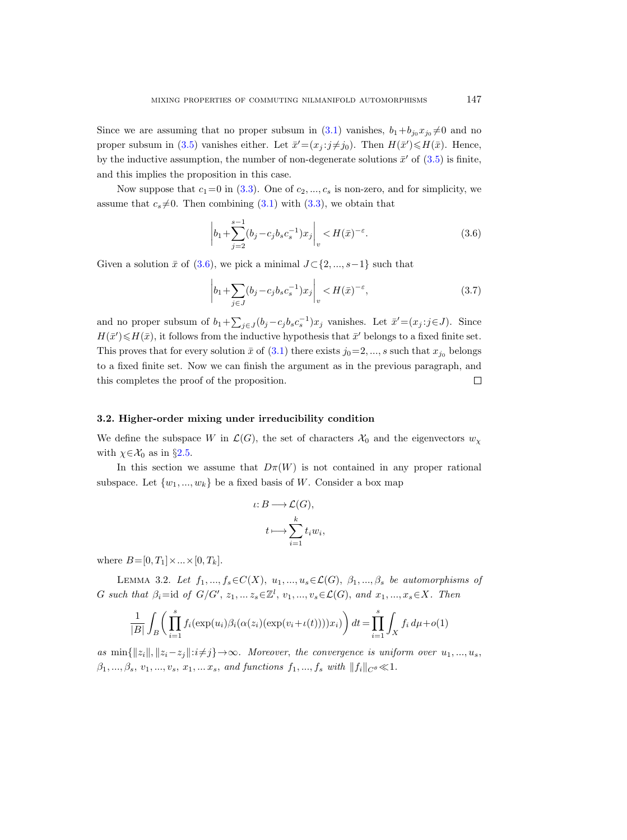Since we are assuming that no proper subsum in  $(3.1)$  vanishes,  $b_1+b_{j_0}x_{j_0}\neq 0$  and no proper subsum in [\(3.5\)](#page-19-3) vanishes either. Let  $\bar{x}' = (x_j : j \neq j_0)$ . Then  $H(\bar{x}') \le H(\bar{x})$ . Hence, by the inductive assumption, the number of non-degenerate solutions  $\bar{x}'$  of  $(3.5)$  is finite, and this implies the proposition in this case.

Now suppose that  $c_1=0$  in [\(3.3\)](#page-19-1). One of  $c_2, ..., c_s$  is non-zero, and for simplicity, we assume that  $c_s \neq 0$ . Then combining [\(3.1\)](#page-18-2) with [\(3.3\)](#page-19-1), we obtain that

<span id="page-20-1"></span>
$$
\left| b_1 + \sum_{j=2}^{s-1} (b_j - c_j b_s c_s^{-1}) x_j \right|_v < H(\bar{x})^{-\varepsilon}.
$$
 (3.6)

Given a solution  $\bar{x}$  of [\(3.6\)](#page-20-1), we pick a minimal  $J\subset \{2, ..., s-1\}$  such that

$$
\left|b_1 + \sum_{j \in J} (b_j - c_j b_s c_s^{-1}) x_j \right|_v < H(\bar{x})^{-\varepsilon},\tag{3.7}
$$

and no proper subsum of  $b_1 + \sum_{j \in J} (b_j - c_j b_s c_s^{-1}) x_j$  vanishes. Let  $\bar{x}' = (x_j : j \in J)$ . Since  $H(\bar{x}') \leq H(\bar{x})$ , it follows from the inductive hypothesis that  $\bar{x}'$  belongs to a fixed finite set. This proves that for every solution  $\bar{x}$  of [\(3.1\)](#page-18-2) there exists  $j_0=2, ..., s$  such that  $x_{j_0}$  belongs to a fixed finite set. Now we can finish the argument as in the previous paragraph, and this completes the proof of the proposition.  $\Box$ 

# <span id="page-20-0"></span>3.2. Higher-order mixing under irreducibility condition

We define the subspace W in  $\mathcal{L}(G)$ , the set of characters  $\mathcal{X}_0$  and the eigenvectors  $w_x$ with  $\chi \in \mathcal{X}_0$  as in §[2.5.](#page-9-0)

In this section we assume that  $D\pi(W)$  is not contained in any proper rational subspace. Let  $\{w_1, ..., w_k\}$  be a fixed basis of W. Consider a box map

$$
\iota: B \longrightarrow \mathcal{L}(G),
$$

$$
t \longmapsto \sum_{i=1}^{k} t_i w_i
$$

,

where  $B = [0, T_1] \times ... \times [0, T_k].$ 

<span id="page-20-2"></span>LEMMA 3.2. Let  $f_1, ..., f_s \in C(X), u_1, ..., u_s \in L(G), \beta_1, ..., \beta_s$  be automorphisms of G such that  $\beta_i = \text{id}$  of  $G/G', z_1, \ldots z_s \in \mathbb{Z}^l$ ,  $v_1, \ldots, v_s \in \mathcal{L}(G)$ , and  $x_1, \ldots, x_s \in X$ . Then

$$
\frac{1}{|B|} \int_B \left( \prod_{i=1}^s f_i(\exp(u_i)\beta_i(\alpha(z_i)(\exp(v_i + \iota(t))))x_i) \right) dt = \prod_{i=1}^s \int_X f_i d\mu + o(1)
$$

as  $\min\{\Vert z_i\Vert, \Vert z_i-z_j\Vert: i\neq j\} \rightarrow \infty$ . Moreover, the convergence is uniform over  $u_1, ..., u_s$ ,  $\beta_1, ..., \beta_s, v_1, ..., v_s, x_1, ... x_s,$  and functions  $f_1, ..., f_s$  with  $||f_i||_{C^{\theta}} \ll 1$ .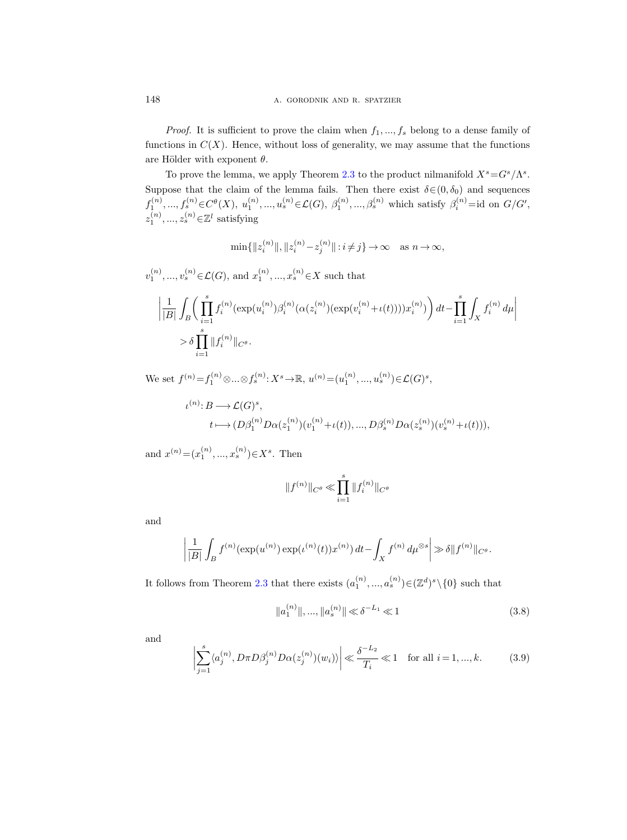148 **a.** GORODNIK AND R. SPATZIER

*Proof.* It is sufficient to prove the claim when  $f_1, ..., f_s$  belong to a dense family of functions in  $C(X)$ . Hence, without loss of generality, we may assume that the functions are Hölder with exponent  $\theta$ .

To prove the lemma, we apply Theorem [2.3](#page-8-1) to the product nilmanifold  $X^s = G^s / \Lambda^s$ . Suppose that the claim of the lemma fails. Then there exist  $\delta \in (0, \delta_0)$  and sequences  $f_1^{(n)},..., f_s^{(n)} \in C^{\theta}(X), u_1^{(n)},..., u_s^{(n)} \in \mathcal{L}(G), \beta_1^{(n)},..., \beta_s^{(n)}$  which satisfy  $\beta_i^{(n)} = id$  on  $G/G',$  $z_1^{(n)},...,z_s^{(n)} \in \mathbb{Z}^l$  satisfying

 $\min\{\|z_i^{(n)}\|, \|z_i^{(n)} - z_j^{(n)}\| : i \neq j\} \to \infty \text{ as } n \to \infty,$ 

 $v_1^{(n)},...,v_s^{(n)}\in\mathcal{L}(G),$  and  $x_1^{(n)},...,x_s^{(n)}\in X$  such that  $\begin{array}{c} \begin{array}{c} \begin{array}{c} \begin{array}{c} \end{array} \\ \end{array} \end{array} \end{array}$ 1  $|B|$ Z B  $\int_{0}^{s}$  $i=1$  $f_i^{(n)}(\exp(u_i^{(n)})\beta_i^{(n)}(\alpha(z_i^{(n)}) (\exp(v_i^{(n)}+\iota(t))))x_i^{(n)})\bigg)\,dt-\prod^s$  $i=1$ Z X  $\left|f_i^{(n)} d\mu\right|$  $>\delta \prod^s$  $||f_i^{(n)}||_{C^{\theta}}.$ 

We set  $f^{(n)} = f_1^{(n)} \otimes ... \otimes f_s^{(n)} : X^s \to \mathbb{R}, u^{(n)} = (u_1^{(n)}, ..., u_s^{(n)}) \in \mathcal{L}(G)^s$ ,

$$
\iota^{(n)}: B \longrightarrow \mathcal{L}(G)^s,
$$
  
\n
$$
t \longmapsto (D\beta_1^{(n)}D\alpha(z_1^{(n)})(v_1^{(n)} + \iota(t)), ..., D\beta_s^{(n)}D\alpha(z_s^{(n)})(v_s^{(n)} + \iota(t))),
$$

and  $x^{(n)} = (x_1^{(n)}, ..., x_s^{(n)}) \in X^s$ . Then

 $i=1$ 

$$
||f^{(n)}||_{C^{\theta}} \ll \prod_{i=1}^{s} ||f_i^{(n)}||_{C^{\theta}}
$$

and

$$
\left| \frac{1}{|B|} \int_B f^{(n)}(\exp(u^{(n)}) \exp(\iota^{(n)}(t)) x^{(n)}) dt - \int_X f^{(n)} d\mu^{\otimes s} \right| \gg \delta \| f^{(n)} \|_{C^{\theta}}.
$$

It follows from Theorem [2.3](#page-8-1) that there exists  $(a_1^{(n)},...,a_s^{(n)}) \in (\mathbb{Z}^d)^s \setminus \{0\}$  such that

<span id="page-21-1"></span>
$$
||a_1^{(n)}||, ..., ||a_s^{(n)}|| \ll \delta^{-L_1} \ll 1
$$
\n(3.8)

and

<span id="page-21-0"></span>
$$
\left| \sum_{j=1}^{s} \langle a_j^{(n)}, D\pi D\beta_j^{(n)} D\alpha(z_j^{(n)})(w_i) \rangle \right| \ll \frac{\delta^{-L_2}}{T_i} \ll 1 \quad \text{for all } i = 1, \dots, k. \tag{3.9}
$$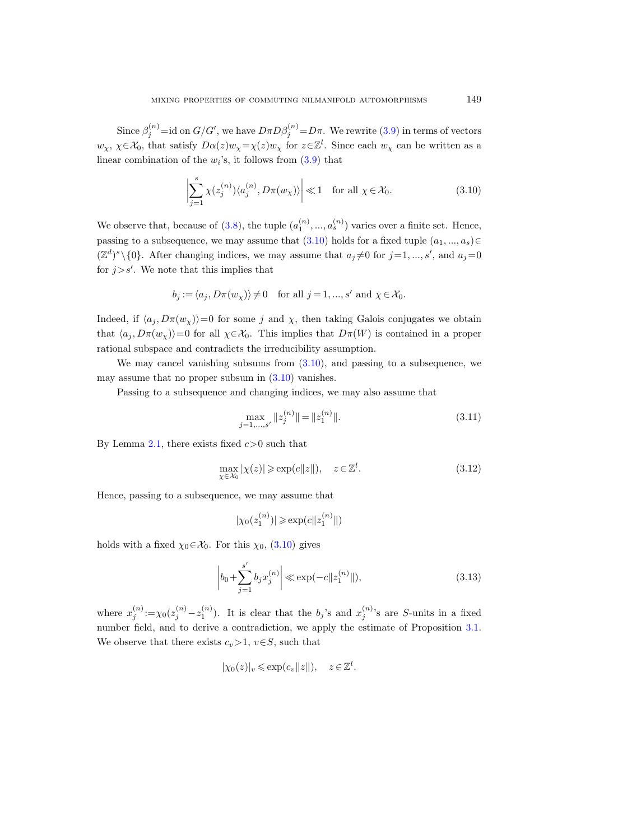Since  $\beta_j^{(n)} = id$  on  $G/G'$ , we have  $D \pi D \beta_j^{(n)} = D \pi$ . We rewrite [\(3.9\)](#page-21-0) in terms of vectors  $w_\chi, \chi \in \mathcal{X}_0$ , that satisfy  $D\alpha(z)w_\chi = \chi(z)w_\chi$  for  $z \in \mathbb{Z}^l$ . Since each  $w_\chi$  can be written as a linear combination of the  $w_i$ 's, it follows from  $(3.9)$  that

<span id="page-22-0"></span>
$$
\left| \sum_{j=1}^{s} \chi(z_j^{(n)}) \langle a_j^{(n)}, D\pi(w_\chi) \rangle \right| \ll 1 \quad \text{for all } \chi \in \mathcal{X}_0.
$$
 (3.10)

We observe that, because of [\(3.8\)](#page-21-1), the tuple  $(a_1^{(n)},...,a_s^{(n)})$  varies over a finite set. Hence, passing to a subsequence, we may assume that  $(3.10)$  holds for a fixed tuple  $(a_1, ..., a_s) \in$  $(\mathbb{Z}^d)^s \setminus \{0\}$ . After changing indices, we may assume that  $a_j \neq 0$  for  $j=1, ..., s'$ , and  $a_j = 0$ for  $j>s'$ . We note that this implies that

$$
b_j := \langle a_j, D\pi(w_\chi) \rangle \neq 0
$$
 for all  $j = 1, ..., s'$  and  $\chi \in \mathcal{X}_0$ .

Indeed, if  $\langle a_j, D\pi(w_\chi)\rangle=0$  for some j and  $\chi$ , then taking Galois conjugates we obtain that  $\langle a_i, D\pi(w_x)\rangle=0$  for all  $\chi\in\mathcal{X}_0$ . This implies that  $D\pi(W)$  is contained in a proper rational subspace and contradicts the irreducibility assumption.

We may cancel vanishing subsums from  $(3.10)$ , and passing to a subsequence, we may assume that no proper subsum in  $(3.10)$  vanishes.

Passing to a subsequence and changing indices, we may also assume that

<span id="page-22-1"></span>
$$
\max_{j=1,\dots,s'} \|z_j^{(n)}\| = \|z_1^{(n)}\|.
$$
\n(3.11)

By Lemma [2.1,](#page-5-1) there exists fixed  $c > 0$  such that

<span id="page-22-3"></span>
$$
\max_{\chi \in \mathcal{X}_0} |\chi(z)| \ge \exp(c||z||), \quad z \in \mathbb{Z}^l. \tag{3.12}
$$

Hence, passing to a subsequence, we may assume that

$$
|\chi_0(z_1^{(n)})| \ge \exp(c||z_1^{(n)}||)
$$

holds with a fixed  $\chi_0 \in \mathcal{X}_0$ . For this  $\chi_0$ , [\(3.10\)](#page-22-0) gives

<span id="page-22-2"></span>
$$
\left| b_0 + \sum_{j=1}^{s'} b_j x_j^{(n)} \right| \ll \exp(-c \|z_1^{(n)}\|),\tag{3.13}
$$

where  $x_j^{(n)} := \chi_0(z_j^{(n)} - z_1^{(n)})$ . It is clear that the  $b_j$ 's and  $x_j^{(n)}$ 's are S-units in a fixed number field, and to derive a contradiction, we apply the estimate of Proposition [3.1.](#page-18-0) We observe that there exists  $c_v>1$ ,  $v\in S$ , such that

$$
|\chi_0(z)|_v \leq \exp(c_v ||z||), \quad z \in \mathbb{Z}^l.
$$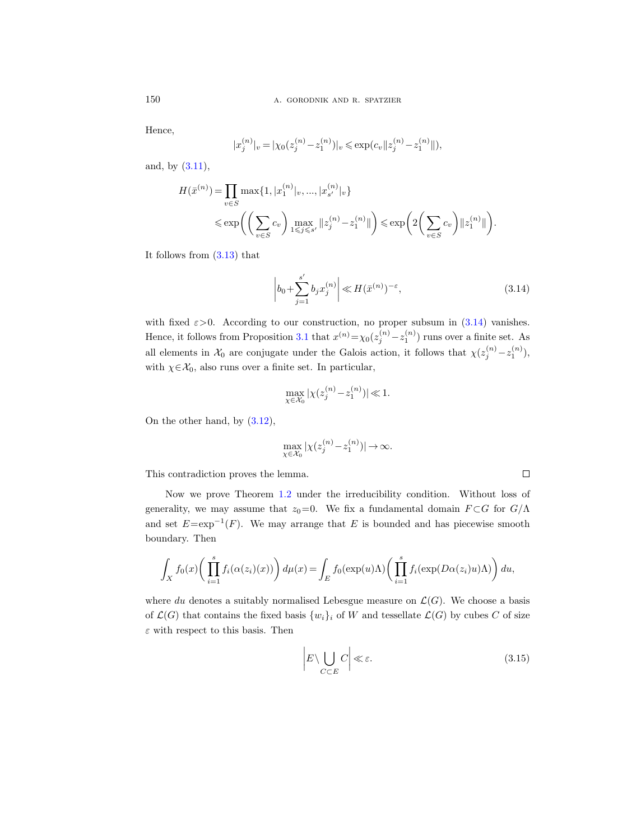Hence,

$$
|x_j^{(n)}|_v = |\chi_0(z_j^{(n)} - z_1^{(n)})|_v \le \exp(c_v ||z_j^{(n)} - z_1^{(n)}||),
$$

and, by [\(3.11\)](#page-22-1),

$$
H(\bar{x}^{(n)}) = \prod_{v \in S} \max\{1, |x_1^{(n)}|_v, ..., |x_{s'}^{(n)}|_v\}
$$
  
\$\leq \exp\left(\left(\sum\_{v \in S} c\_v\right) \max\_{1 \leq j \leq s'} \|z\_j^{(n)} - z\_1^{(n)}\|\right) \leq \exp\left(2\left(\sum\_{v \in S} c\_v\right) \|z\_1^{(n)}\|\right).

It follows from [\(3.13\)](#page-22-2) that

<span id="page-23-0"></span>
$$
\left| b_0 + \sum_{j=1}^{s'} b_j x_j^{(n)} \right| \ll H(\bar{x}^{(n)})^{-\varepsilon},\tag{3.14}
$$

with fixed  $\varepsilon > 0$ . According to our construction, no proper subsum in [\(3.14\)](#page-23-0) vanishes. Hence, it follows from Proposition [3.1](#page-18-0) that  $x^{(n)} = \chi_0(z_j^{(n)} - z_1^{(n)})$  runs over a finite set. As all elements in  $\mathcal{X}_0$  are conjugate under the Galois action, it follows that  $\chi(z_j^{(n)}-z_1^{(n)}),$ with  $\chi \in \mathcal{X}_0$ , also runs over a finite set. In particular,

$$
\max_{\chi \in \mathcal{X}_0} |\chi(z_j^{(n)} - z_1^{(n)})| \ll 1.
$$

On the other hand, by [\(3.12\)](#page-22-3),

$$
\max_{\chi\in\mathcal{X}_0}|\chi(z^{(n)}_j\!-\!z^{(n)}_1)|\!\rightarrow\!\infty.
$$

This contradiction proves the lemma.

Now we prove Theorem [1.2](#page-1-1) under the irreducibility condition. Without loss of generality, we may assume that  $z_0=0$ . We fix a fundamental domain  $F \subset G$  for  $G/\Lambda$ and set  $E = \exp^{-1}(F)$ . We may arrange that E is bounded and has piecewise smooth boundary. Then

$$
\int_X f_0(x) \bigg( \prod_{i=1}^s f_i(\alpha(z_i)(x)) \bigg) d\mu(x) = \int_E f_0(\exp(u)\Lambda) \bigg( \prod_{i=1}^s f_i(\exp(D\alpha(z_i)u)\Lambda) \bigg) du,
$$

where du denotes a suitably normalised Lebesgue measure on  $\mathcal{L}(G)$ . We choose a basis of  $\mathcal{L}(G)$  that contains the fixed basis  $\{w_i\}_i$  of W and tessellate  $\mathcal{L}(G)$  by cubes C of size  $\varepsilon$  with respect to this basis. Then

<span id="page-23-1"></span>
$$
\left| E \setminus \bigcup_{C \subset E} C \right| \ll \varepsilon. \tag{3.15}
$$

 $\Box$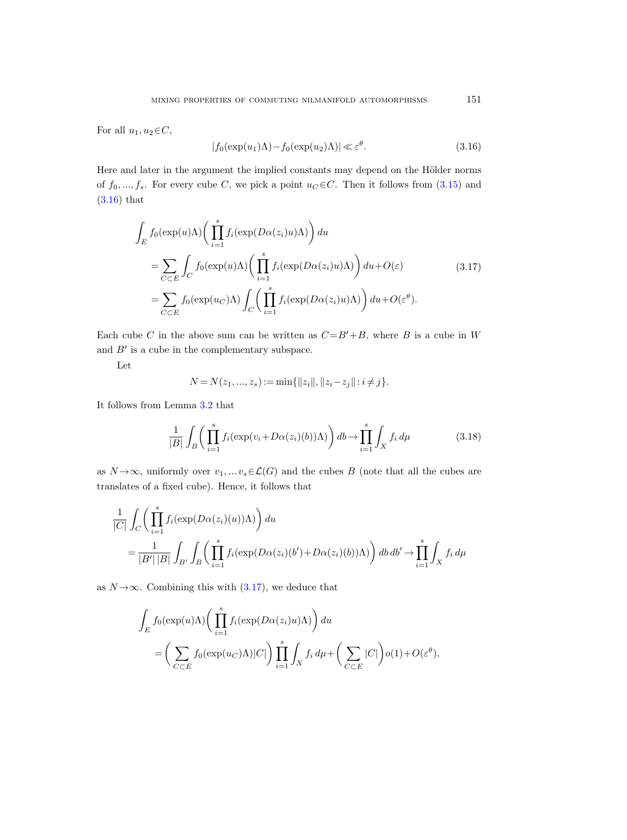For all  $u_1, u_2 \in C$ ,

<span id="page-24-0"></span>
$$
|f_0(\exp(u_1)\Lambda) - f_0(\exp(u_2)\Lambda)| \ll \varepsilon^{\theta}.
$$
 (3.16)

Here and later in the argument the implied constants may depend on the Hölder norms of  $f_0, ..., f_s$ . For every cube C, we pick a point  $u_C \in C$ . Then it follows from  $(3.15)$  and [\(3.16\)](#page-24-0) that

<span id="page-24-1"></span>
$$
\int_{E} f_0(\exp(u)\Lambda) \left( \prod_{i=1}^s f_i(\exp(D\alpha(z_i)u)\Lambda) \right) du
$$
\n
$$
= \sum_{C \subset E} \int_C f_0(\exp(u)\Lambda) \left( \prod_{i=1}^s f_i(\exp(D\alpha(z_i)u)\Lambda) \right) du + O(\varepsilon)
$$
\n
$$
= \sum_{C \subset E} f_0(\exp(u_C)\Lambda) \int_C \left( \prod_{i=1}^s f_i(\exp(D\alpha(z_i)u)\Lambda) \right) du + O(\varepsilon^{\theta}).
$$
\n(3.17)

Each cube C in the above sum can be written as  $C = B' + B$ , where B is a cube in W and  $B'$  is a cube in the complementary subspace.

Let

$$
N = N(z_1, ..., z_s) := \min\{\|z_i\|, \|z_i - z_j\| : i \neq j\}.
$$

It follows from Lemma [3.2](#page-20-2) that

<span id="page-24-2"></span>
$$
\frac{1}{|B|} \int_{B} \left( \prod_{i=1}^{s} f_i(\exp(v_i + D\alpha(z_i)(b))\Lambda) \right) db \to \prod_{i=1}^{s} \int_{X} f_i d\mu \tag{3.18}
$$

as  $N \rightarrow \infty$ , uniformly over  $v_1, \ldots v_s \in \mathcal{L}(G)$  and the cubes B (note that all the cubes are translates of a fixed cube). Hence, it follows that

$$
\frac{1}{|C|} \int_C \left( \prod_{i=1}^s f_i(\exp(D\alpha(z_i)(u))\Lambda) \right) du
$$
  
= 
$$
\frac{1}{|B'| |B|} \int_{B'} \int_B \left( \prod_{i=1}^s f_i(\exp(D\alpha(z_i)(b') + D\alpha(z_i)(b))\Lambda) \right) db db' \to \prod_{i=1}^s \int_X f_i d\mu
$$

as  $N \rightarrow \infty$ . Combining this with [\(3.17\)](#page-24-1), we deduce that

$$
\int_{E} f_0(\exp(u)\Lambda) \bigg( \prod_{i=1}^s f_i(\exp(D\alpha(z_i)u)\Lambda) \bigg) du
$$
\n
$$
= \bigg( \sum_{C \subset E} f_0(\exp(u_C)\Lambda) |C| \bigg) \prod_{i=1}^s \int_X f_i d\mu + \bigg( \sum_{C \subset E} |C| \bigg) o(1) + O(\varepsilon^{\theta}),
$$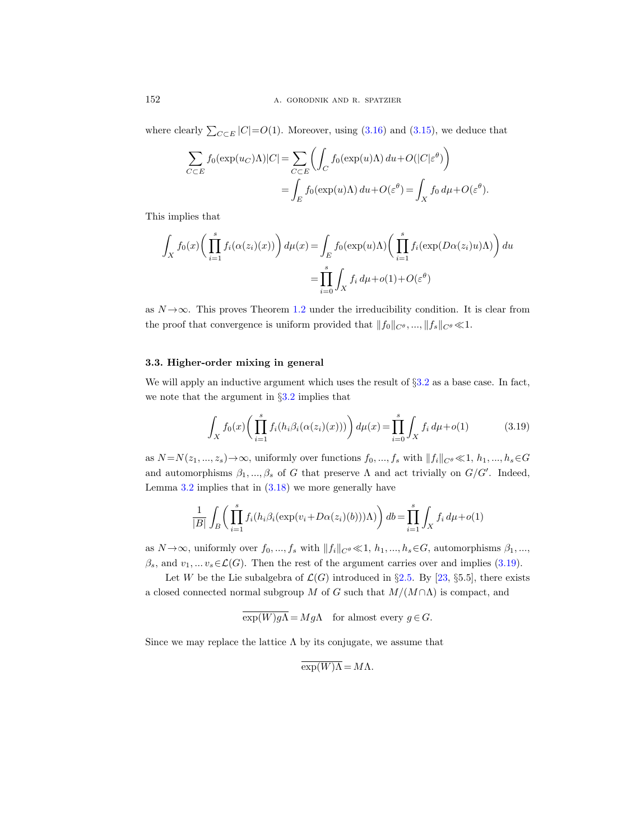where clearly  $\sum_{C \subset E} |C| = O(1)$ . Moreover, using  $(3.16)$  and  $(3.15)$ , we deduce that

$$
\sum_{C \subset E} f_0(\exp(u_C)\Lambda)|C| = \sum_{C \subset E} \left( \int_C f_0(\exp(u)\Lambda) du + O(|C|\varepsilon^{\theta}) \right)
$$
  
= 
$$
\int_E f_0(\exp(u)\Lambda) du + O(\varepsilon^{\theta}) = \int_X f_0 d\mu + O(\varepsilon^{\theta}).
$$

This implies that

$$
\int_X f_0(x) \bigg( \prod_{i=1}^s f_i(\alpha(z_i)(x)) \bigg) d\mu(x) = \int_E f_0(\exp(u)\Lambda) \bigg( \prod_{i=1}^s f_i(\exp(D\alpha(z_i)u)\Lambda) \bigg) du
$$

$$
= \prod_{i=0}^s \int_X f_i d\mu + o(1) + O(\varepsilon^\theta)
$$

as  $N \rightarrow \infty$ . This proves Theorem [1.2](#page-1-1) under the irreducibility condition. It is clear from the proof that convergence is uniform provided that  $||f_0||_{C^\theta}$ , ...,  $||f_s||_{C^\theta} \ll 1$ .

## <span id="page-25-0"></span>3.3. Higher-order mixing in general

We will apply an inductive argument which uses the result of §[3.2](#page-20-0) as a base case. In fact, we note that the argument in §[3.2](#page-20-0) implies that

<span id="page-25-1"></span>
$$
\int_{X} f_0(x) \left( \prod_{i=1}^s f_i(h_i \beta_i(\alpha(z_i)(x))) \right) d\mu(x) = \prod_{i=0}^s \int_{X} f_i d\mu + o(1) \tag{3.19}
$$

as  $N = N(z_1, ..., z_s) \rightarrow \infty$ , uniformly over functions  $f_0, ..., f_s$  with  $||f_i||_{C^\theta} \ll 1, h_1, ..., h_s \in G$ and automorphisms  $\beta_1, ..., \beta_s$  of G that preserve  $\Lambda$  and act trivially on  $G/G'$ . Indeed, Lemma  $3.2$  implies that in  $(3.18)$  we more generally have

$$
\frac{1}{|B|} \int_B \left( \prod_{i=1}^s f_i(h_i \beta_i (\exp(v_i + D\alpha(z_i)(b))) \Lambda) \right) db = \prod_{i=1}^s \int_X f_i d\mu + o(1)
$$

as  $N \rightarrow \infty$ , uniformly over  $f_0, ..., f_s$  with  $||f_i||_{C^\theta} \ll 1, h_1, ..., h_s \in G$ , automorphisms  $\beta_1, ...,$  $\beta_s$ , and  $v_1, \ldots v_s \in \mathcal{L}(G)$ . Then the rest of the argument carries over and implies [\(3.19\)](#page-25-1).

Let W be the Lie subalgebra of  $\mathcal{L}(G)$  introduced in §[2.5.](#page-9-0) By [\[23,](#page-32-4) §5.5], there exists a closed connected normal subgroup M of G such that  $M/(M \cap \Lambda)$  is compact, and

$$
\overline{\exp(W)g\Lambda} = Mg\Lambda \quad \text{for almost every } g \in G.
$$

Since we may replace the lattice  $\Lambda$  by its conjugate, we assume that

$$
\exp(W)\Lambda = M\Lambda.
$$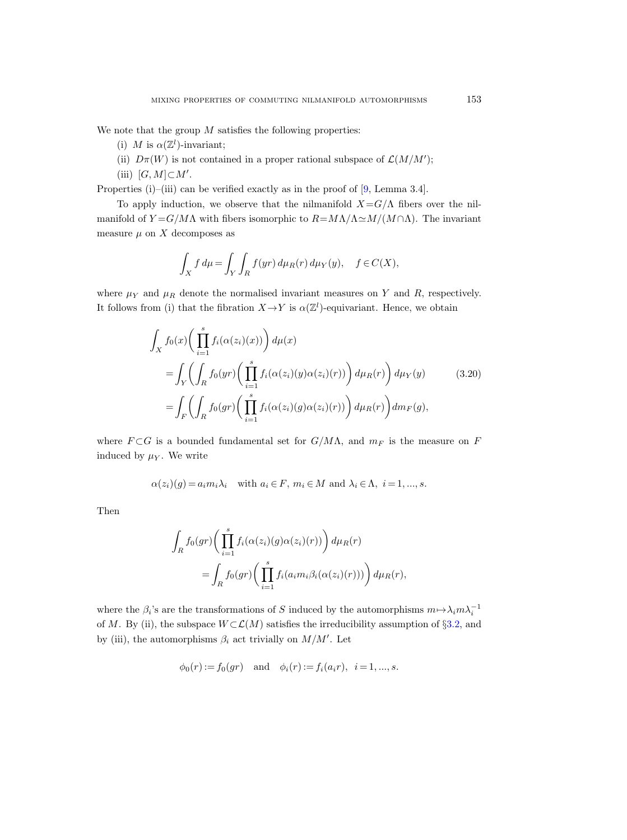We note that the group  $M$  satisfies the following properties:

- (i) M is  $\alpha(\mathbb{Z}^l)$ -invariant;
- (ii)  $D\pi(W)$  is not contained in a proper rational subspace of  $\mathcal{L}(M/M')$ ;
- (iii)  $[G, M] \subset M'.$

Properties (i)–(iii) can be verified exactly as in the proof of [\[9,](#page-31-17) Lemma 3.4].

To apply induction, we observe that the nilmanifold  $X = G/\Lambda$  fibers over the nilmanifold of  $Y = G/M\Lambda$  with fibers isomorphic to  $R = M\Lambda/\Lambda \simeq M/(M \cap \Lambda)$ . The invariant measure  $\mu$  on X decomposes as

$$
\int_X f d\mu = \int_Y \int_R f(yr) d\mu_R(r) d\mu_Y(y), \quad f \in C(X),
$$

where  $\mu_Y$  and  $\mu_R$  denote the normalised invariant measures on Y and R, respectively. It follows from (i) that the fibration  $X \to Y$  is  $\alpha(\mathbb{Z}^l)$ -equivariant. Hence, we obtain

<span id="page-26-0"></span>
$$
\int_{X} f_0(x) \left( \prod_{i=1}^s f_i(\alpha(z_i)(x)) \right) d\mu(x)
$$
\n
$$
= \int_{Y} \left( \int_{R} f_0(yr) \left( \prod_{i=1}^s f_i(\alpha(z_i)(y)\alpha(z_i)(r)) \right) d\mu_R(r) \right) d\mu_Y(y) \qquad (3.20)
$$
\n
$$
= \int_{F} \left( \int_{R} f_0(gr) \left( \prod_{i=1}^s f_i(\alpha(z_i)(g)\alpha(z_i)(r)) \right) d\mu_R(r) \right) dm_F(g),
$$

where  $F \subset G$  is a bounded fundamental set for  $G/M\Lambda$ , and  $m_F$  is the measure on F induced by  $\mu_Y$ . We write

$$
\alpha(z_i)(g) = a_i m_i \lambda_i \quad \text{with } a_i \in F, m_i \in M \text{ and } \lambda_i \in \Lambda, i = 1, ..., s.
$$

Then

$$
\int_{R} f_0(gr) \left( \prod_{i=1}^s f_i(\alpha(z_i)(g)\alpha(z_i)(r)) \right) d\mu_R(r)
$$

$$
= \int_{R} f_0(gr) \left( \prod_{i=1}^s f_i(a_i m_i \beta_i(\alpha(z_i)(r))) \right) d\mu_R(r),
$$

where the  $\beta_i$ 's are the transformations of S induced by the automorphisms  $m \mapsto \lambda_i m \lambda_i^{-1}$ of M. By (ii), the subspace  $W\subset\mathcal{L}(M)$  satisfies the irreducibility assumption of §[3.2,](#page-20-0) and by (iii), the automorphisms  $\beta_i$  act trivially on  $M/M'$ . Let

$$
\phi_0(r) := f_0(gr)
$$
 and  $\phi_i(r) := f_i(a_ir), i = 1, ..., s.$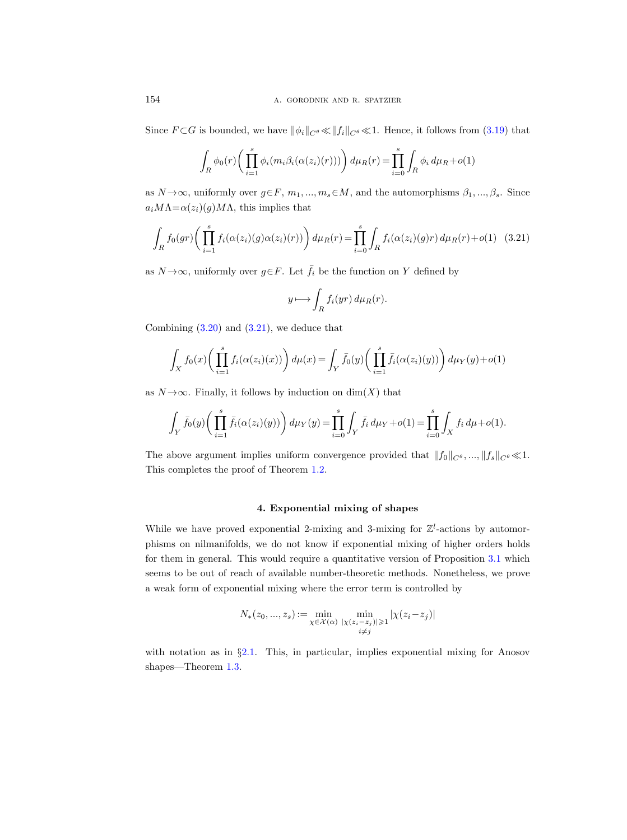Since  $F \subset G$  is bounded, we have  $\|\phi_i\|_{C^\theta} \ll \|f_i\|_{C^\theta} \ll 1$ . Hence, it follows from [\(3.19\)](#page-25-1) that

$$
\int_R \phi_0(r) \bigg( \prod_{i=1}^s \phi_i(m_i \beta_i(\alpha(z_i)(r))) \bigg) d\mu_R(r) = \prod_{i=0}^s \int_R \phi_i d\mu_R + o(1)
$$

as  $N \rightarrow \infty$ , uniformly over  $g \in F$ ,  $m_1, ..., m_s \in M$ , and the automorphisms  $\beta_1, ..., \beta_s$ . Since  $a_i M\Lambda = \alpha(z_i)(g) M\Lambda$ , this implies that

$$
\int_{R} f_0(gr) \left( \prod_{i=1}^s f_i(\alpha(z_i)(g)\alpha(z_i)(r)) \right) d\mu_R(r) = \prod_{i=0}^s \int_{R} f_i(\alpha(z_i)(g)r) d\mu_R(r) + o(1) \quad (3.21)
$$

as  $N \rightarrow \infty$ , uniformly over  $g \in F$ . Let  $\bar{f}_i$  be the function on Y defined by

<span id="page-27-0"></span>
$$
y \longmapsto \int_{R} f_i(yr) d\mu_R(r).
$$

Combining  $(3.20)$  and  $(3.21)$ , we deduce that

$$
\int_X f_0(x) \bigg( \prod_{i=1}^s f_i(\alpha(z_i)(x)) \bigg) d\mu(x) = \int_Y \bar{f}_0(y) \bigg( \prod_{i=1}^s \bar{f}_i(\alpha(z_i)(y)) \bigg) d\mu_Y(y) + o(1)
$$

as  $N \rightarrow \infty$ . Finally, it follows by induction on  $dim(X)$  that

$$
\int_Y \bar{f}_0(y) \bigg( \prod_{i=1}^s \bar{f}_i(\alpha(z_i)(y)) \bigg) d\mu_Y(y) = \prod_{i=0}^s \int_Y \bar{f}_i d\mu_Y + o(1) = \prod_{i=0}^s \int_X f_i d\mu + o(1).
$$

The above argument implies uniform convergence provided that  $||f_0||_{C^\theta}, ..., ||f_s||_{C^\theta} \ll 1$ . This completes the proof of Theorem [1.2.](#page-1-1)

## 4. Exponential mixing of shapes

While we have proved exponential 2-mixing and 3-mixing for  $\mathbb{Z}^l$ -actions by automorphisms on nilmanifolds, we do not know if exponential mixing of higher orders holds for them in general. This would require a quantitative version of Proposition [3.1](#page-18-0) which seems to be out of reach of available number-theoretic methods. Nonetheless, we prove a weak form of exponential mixing where the error term is controlled by

$$
N_*(z_0, ..., z_s) := \min_{\substack{\chi \in \mathcal{X}(\alpha) \\ i \neq j}} \min_{\substack{|\chi(z_i - z_j)| \geq 1 \\ i \neq j}} |\chi(z_i - z_j)|
$$

<span id="page-27-1"></span>with notation as in §[2.1.](#page-4-0) This, in particular, implies exponential mixing for Anosov shapes—Theorem [1.3.](#page-2-0)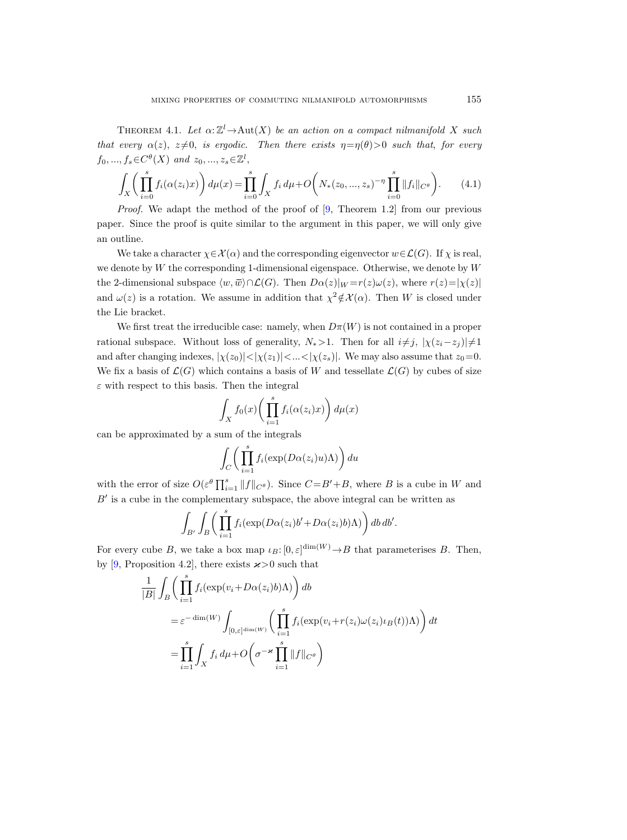THEOREM 4.1. Let  $\alpha: \mathbb{Z}^l \to \text{Aut}(X)$  be an action on a compact nilmanifold X such that every  $\alpha(z)$ ,  $z\neq0$ , is ergodic. Then there exists  $\eta=\eta(\theta)>0$  such that, for every  $f_0, ..., f_s \in C^{\theta}(X)$  and  $z_0, ..., z_s \in \mathbb{Z}^l$ ,

$$
\int_{X} \left( \prod_{i=0}^{s} f_{i}(\alpha(z_{i})x) \right) d\mu(x) = \prod_{i=0}^{s} \int_{X} f_{i} d\mu + O\left( N_{*}(z_{0}, ..., z_{s})^{-\eta} \prod_{i=0}^{s} ||f_{i}||_{C^{\theta}} \right).
$$
 (4.1)

*Proof.* We adapt the method of the proof of  $[9,$  Theorem 1.2 from our previous paper. Since the proof is quite similar to the argument in this paper, we will only give an outline.

We take a character  $\chi \in \mathcal{X}(\alpha)$  and the corresponding eigenvector  $w \in \mathcal{L}(G)$ . If  $\chi$  is real, we denote by  $W$  the corresponding 1-dimensional eigenspace. Otherwise, we denote by  $W$ the 2-dimensional subspace  $\langle w, \overline{w} \rangle \cap \mathcal{L}(G)$ . Then  $D\alpha(z)|_W = r(z)\omega(z)$ , where  $r(z)=|\chi(z)|$ and  $\omega(z)$  is a rotation. We assume in addition that  $\chi^2 \notin \mathcal{X}(\alpha)$ . Then W is closed under the Lie bracket.

We first treat the irreducible case: namely, when  $D\pi(W)$  is not contained in a proper rational subspace. Without loss of generality,  $N_*$ >1. Then for all  $i\neq j$ ,  $|\chi(z_i-z_j)|\neq 1$ and after changing indexes,  $|\chi(z_0)| < |\chi(z_1)| < ... < |\chi(z_s)|$ . We may also assume that  $z_0 = 0$ . We fix a basis of  $\mathcal{L}(G)$  which contains a basis of W and tessellate  $\mathcal{L}(G)$  by cubes of size  $\varepsilon$  with respect to this basis. Then the integral

$$
\int_X f_0(x) \bigg( \prod_{i=1}^s f_i(\alpha(z_i)x) \bigg) d\mu(x)
$$

can be approximated by a sum of the integrals

$$
\int_C \bigg( \prod_{i=1}^s f_i(\exp(D\alpha(z_i)u)\Lambda) \bigg) du
$$

with the error of size  $O(\varepsilon^{\theta}\prod_{i=1}^{s}||f||_{C^{\theta}})$ . Since  $C = B' + B$ , where B is a cube in W and  $B'$  is a cube in the complementary subspace, the above integral can be written as

$$
\int_{B'} \int_B \bigg( \prod_{i=1}^s f_i(\exp(D\alpha(z_i)b' + D\alpha(z_i)b)\Lambda) \bigg) db db'.
$$

For every cube B, we take a box map  $\iota_B: [0, \varepsilon]^{\dim(W)} \to B$  that parameterises B. Then, by [\[9,](#page-31-17) Proposition 4.2], there exists  $\varkappa > 0$  such that

$$
\frac{1}{|B|} \int_{B} \left( \prod_{i=1}^{s} f_i(\exp(v_i + D\alpha(z_i)b)\Lambda) \right) db
$$
  
\n
$$
= \varepsilon^{-\dim(W)} \int_{[0,\varepsilon]^{\dim(W)}} \left( \prod_{i=1}^{s} f_i(\exp(v_i + r(z_i)\omega(z_i)\iota_B(t))\Lambda) \right) dt
$$
  
\n
$$
= \prod_{i=1}^{s} \int_{X} f_i d\mu + O\left(\sigma^{-\varkappa} \prod_{i=1}^{s} ||f||_{C^{\theta}}\right)
$$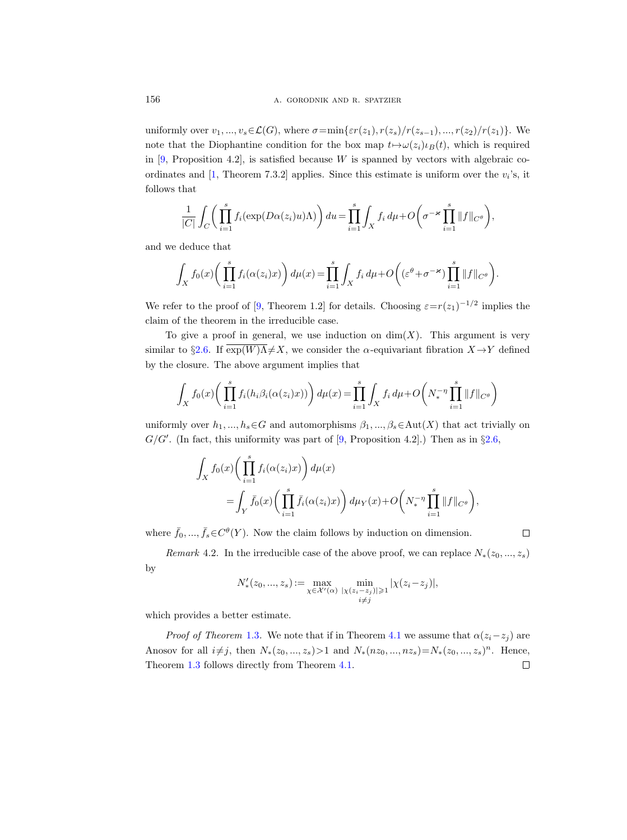uniformly over  $v_1, ..., v_s \in \mathcal{L}(G)$ , where  $\sigma = \min\{\varepsilon r(z_1), r(z_s)/r(z_{s-1}), ..., r(z_2)/r(z_1)\}$ . We note that the Diophantine condition for the box map  $t \mapsto \omega(z_i) \iota_B(t)$ , which is required in  $[9,$  Proposition 4.2], is satisfied because W is spanned by vectors with algebraic co-ordinates and [\[1,](#page-31-19) Theorem 7.3.2] applies. Since this estimate is uniform over the  $v_i$ 's, it follows that

$$
\frac{1}{|C|} \int_C \bigg( \prod_{i=1}^s f_i(\exp(D\alpha(z_i)u)\Lambda) \bigg) du = \prod_{i=1}^s \int_X f_i d\mu + O\bigg(\sigma^{-\varkappa} \prod_{i=1}^s \|f\|_{C^\theta}\bigg),
$$

and we deduce that

$$
\int_X f_0(x) \bigg( \prod_{i=1}^s f_i(\alpha(z_i)x) \bigg) d\mu(x) = \prod_{i=1}^s \int_X f_i d\mu + O\bigg( (\varepsilon^{\theta} + \sigma^{-\varkappa}) \prod_{i=1}^s \|f\|_{C^{\theta}} \bigg).
$$

We refer to the proof of [\[9,](#page-31-17) Theorem 1.2] for details. Choosing  $\varepsilon = r(z_1)^{-1/2}$  implies the claim of the theorem in the irreducible case.

To give a proof in general, we use induction on  $dim(X)$ . This argument is very similar to §[2.6.](#page-16-0) If  $exp(W)\Lambda \neq X$ , we consider the  $\alpha$ -equivariant fibration  $X \to Y$  defined by the closure. The above argument implies that

$$
\int_X f_0(x) \bigg( \prod_{i=1}^s f_i(h_i \beta_i(\alpha(z_i) x)) \bigg) d\mu(x) = \prod_{i=1}^s \int_X f_i d\mu + O\bigg(N_*^{-\eta} \prod_{i=1}^s \|f\|_{C^\theta}\bigg)
$$

uniformly over  $h_1, ..., h_s \in G$  and automorphisms  $\beta_1, ..., \beta_s \in Aut(X)$  that act trivially on  $G/G'$ . (In fact, this uniformity was part of [\[9,](#page-31-17) Proposition 4.2].) Then as in  $\S 2.6$ ,

$$
\int_X f_0(x) \left( \prod_{i=1}^s f_i(\alpha(z_i)x) \right) d\mu(x)
$$
\n
$$
= \int_Y \bar{f}_0(x) \left( \prod_{i=1}^s \bar{f}_i(\alpha(z_i)x) \right) d\mu_Y(x) + O\left(N_*^{-\eta} \prod_{i=1}^s \|f\|_{C^\theta}\right),
$$

where  $\bar{f}_0, ..., \bar{f}_s \in C^{\theta}(Y)$ . Now the claim follows by induction on dimension.

Remark 4.2. In the irreducible case of the above proof, we can replace  $N_*(z_0, ..., z_s)$ by

 $\Box$ 

$$
N'_{*}(z_{0},...,z_{s}) := \max_{\chi \in \mathcal{X}'(\alpha)} \min_{\substack{|\chi(z_{i}-z_{j})| \geq 1 \\ i \neq j}} |\chi(z_{i}-z_{j})|,
$$

which provides a better estimate.

*Proof of Theorem* [1.3](#page-2-0). We note that if in Theorem [4.1](#page-27-1) we assume that  $\alpha(z_i-z_j)$  are Anosov for all  $i \neq j$ , then  $N_*(z_0, ..., z_s) > 1$  and  $N_*(nz_0, ..., nz_s) = N_*(z_0, ..., z_s)^n$ . Hence, Theorem [1.3](#page-2-0) follows directly from Theorem [4.1.](#page-27-1) $\Box$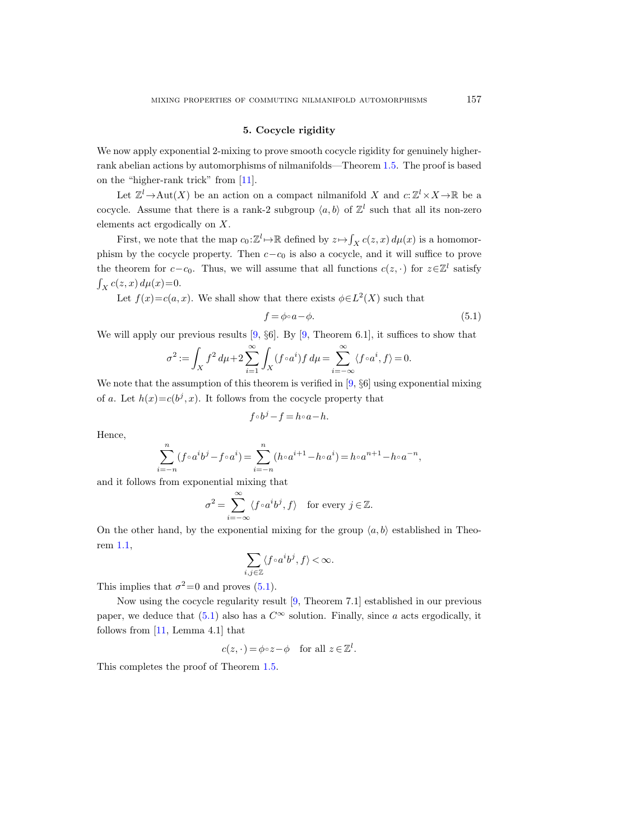#### 5. Cocycle rigidity

We now apply exponential 2-mixing to prove smooth cocycle rigidity for genuinely higherrank abelian actions by automorphisms of nilmanifolds—Theorem [1.5.](#page-3-1) The proof is based on the "higher-rank trick" from [\[11\]](#page-31-12).

Let  $\mathbb{Z}^l \to \text{Aut}(X)$  be an action on a compact nilmanifold X and  $c: \mathbb{Z}^l \times X \to \mathbb{R}$  be a cocycle. Assume that there is a rank-2 subgroup  $\langle a, b \rangle$  of  $\mathbb{Z}^l$  such that all its non-zero elements act ergodically on X.

First, we note that the map  $c_0: \mathbb{Z}^l \to \mathbb{R}$  defined by  $z \mapsto \int_X c(z, x) d\mu(x)$  is a homomorphism by the cocycle property. Then  $c-c_0$  is also a cocycle, and it will suffice to prove the theorem for  $c - c_0$ . Thus, we will assume that all functions  $c(z, \cdot)$  for  $z \in \mathbb{Z}^l$  satisfy  $\int_X c(z, x) d\mu(x) = 0.$ 

Let  $f(x)=c(a,x)$ . We shall show that there exists  $\phi\in L^2(X)$  such that

<span id="page-30-0"></span>
$$
f = \phi \circ a - \phi. \tag{5.1}
$$

We will apply our previous results [\[9,](#page-31-17)  $\S6$ ]. By [9, Theorem 6.1], it suffices to show that

$$
\sigma^2:=\int_X f^2\,d\mu+2\sum_{i=1}^\infty\int_X (f\circ a^i)f\,d\mu=\sum_{i=-\infty}^\infty\langle f\circ a^i,f\rangle=0.
$$

We note that the assumption of this theorem is verified in [\[9,](#page-31-17)  $\S6$ ] using exponential mixing of a. Let  $h(x)=c(b^j, x)$ . It follows from the cocycle property that

$$
f \circ b^j - f = h \circ a - h.
$$

Hence,

$$
\sum_{i=-n}^{n} (f \circ a^{i}b^{j} - f \circ a^{i}) = \sum_{i=-n}^{n} (h \circ a^{i+1} - h \circ a^{i}) = h \circ a^{n+1} - h \circ a^{-n},
$$

and it follows from exponential mixing that

$$
\sigma^2 = \sum_{i=-\infty}^{\infty} \langle f \circ a^i b^j, f \rangle \quad \text{for every } j \in \mathbb{Z}.
$$

On the other hand, by the exponential mixing for the group  $\langle a, b \rangle$  established in Theorem [1.1,](#page-1-0)

$$
\sum_{i,j\in\mathbb{Z}}\langle f\!\circ\! a^ib^j,f\rangle\!<\!\infty.
$$

This implies that  $\sigma^2 = 0$  and proves [\(5.1\)](#page-30-0).

Now using the cocycle regularity result [\[9,](#page-31-17) Theorem 7.1] established in our previous paper, we deduce that [\(5.1\)](#page-30-0) also has a  $C^{\infty}$  solution. Finally, since a acts ergodically, it follows from [\[11,](#page-31-12) Lemma 4.1] that

$$
c(z, \cdot) = \phi \circ z - \phi \quad \text{for all } z \in \mathbb{Z}^l.
$$

This completes the proof of Theorem [1.5.](#page-3-1)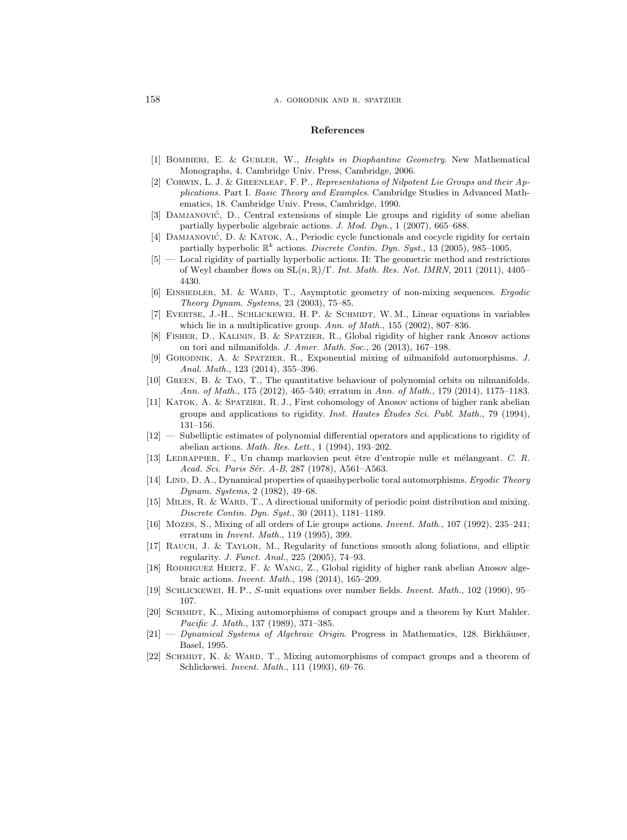#### 158 **a.** GORODNIK AND R. SPATZIER

#### References

- <span id="page-31-19"></span>[1] Bombieri, E. & Gubler, W., Heights in Diophantine Geometry. New Mathematical Monographs, 4. Cambridge Univ. Press, Cambridge, 2006.
- <span id="page-31-16"></span>[2] Corwin, L. J. & Greenleaf, F. P., Representations of Nilpotent Lie Groups and their Applications. Part I. Basic Theory and Examples. Cambridge Studies in Advanced Mathematics, 18. Cambridge Univ. Press, Cambridge, 1990.
- <span id="page-31-14"></span>[3] DAMJANOVIĆ, D., Central extensions of simple Lie groups and rigidity of some abelian partially hyperbolic algebraic actions. J. Mod. Dyn., 1 (2007), 665–688.
- [4] DAMJANOVIĆ, D. & KATOK, A., Periodic cycle functionals and cocycle rigidity for certain partially hyperbolic  $\mathbb{R}^k$  actions. *Discrete Contin. Dyn. Syst.*, 13 (2005), 985–1005.
- <span id="page-31-15"></span>[5] — Local rigidity of partially hyperbolic actions. II: The geometric method and restrictions of Weyl chamber flows on  $SL(n, \mathbb{R})/\Gamma$ . Int. Math. Res. Not. IMRN, 2011 (2011), 4405– 4430.
- <span id="page-31-7"></span>[6] EINSIEDLER, M. & WARD, T., Asymptotic geometry of non-mixing sequences. Ergodic Theory Dynam. Systems, 23 (2003), 75–85.
- <span id="page-31-20"></span>[7] EVERTSE, J.-H., SCHLICKEWEI, H.P. & SCHMIDT, W.M., Linear equations in variables which lie in a multiplicative group. Ann. of Math., 155 (2002), 807-836.
- <span id="page-31-9"></span>[8] Fisher, D., Kalinin, B. & Spatzier, R., Global rigidity of higher rank Anosov actions on tori and nilmanifolds. J. Amer. Math. Soc., 26 (2013), 167–198.
- <span id="page-31-17"></span>[9] Gorodnik, A. & Spatzier, R., Exponential mixing of nilmanifold automorphisms. J. Anal. Math., 123 (2014), 355–396.
- <span id="page-31-18"></span>[10] Green, B. & Tao, T., The quantitative behaviour of polynomial orbits on nilmanifolds. Ann. of Math., 175 (2012), 465–540; erratum in Ann. of Math., 179 (2014), 1175–1183.
- <span id="page-31-12"></span>[11] KATOK, A. & SPATZIER, R. J., First cohomology of Anosov actions of higher rank abelian groups and applications to rigidity. Inst. Hautes Études Sci. Publ. Math., 79 (1994), 131–156.
- <span id="page-31-13"></span>[12] — Subelliptic estimates of polynomial differential operators and applications to rigidity of abelian actions. Math. Res. Lett., 1 (1994), 193–202.
- <span id="page-31-0"></span>[13] LEDRAPPIER, F., Un champ markovien peut être d'entropie nulle et mélangeant. C. R. Acad. Sci. Paris Sér. A-B, 287 (1978), A561-A563.
- <span id="page-31-3"></span>[14] LIND, D. A., Dynamical properties of quasihyperbolic toral automorphisms. Ergodic Theory Dynam. Systems, 2 (1982), 49–68.
- <span id="page-31-4"></span>[15] MILES, R. & WARD, T., A directional uniformity of periodic point distribution and mixing. Discrete Contin. Dyn. Syst., 30 (2011), 1181–1189.
- <span id="page-31-2"></span>[16] Mozes, S., Mixing of all orders of Lie groups actions. Invent. Math., 107 (1992), 235–241; erratum in Invent. Math., 119 (1995), 399.
- <span id="page-31-10"></span>[17] Rauch, J. & Taylor, M., Regularity of functions smooth along foliations, and elliptic regularity. J. Funct. Anal., 225 (2005), 74–93.
- <span id="page-31-11"></span>[18] RODRIGUEZ HERTZ, F. & WANG, Z., Global rigidity of higher rank abelian Anosov algebraic actions. Invent. Math., 198 (2014), 165–209.
- <span id="page-31-5"></span>[19] Schlickewei, H. P., S-unit equations over number fields. Invent. Math., 102 (1990), 95– 107.
- <span id="page-31-6"></span>[20] SCHMIDT, K., Mixing automorphisms of compact groups and a theorem by Kurt Mahler. Pacific J. Math., 137 (1989), 371–385.
- <span id="page-31-8"></span> $[21]$  — Dynamical Systems of Algebraic Origin. Progress in Mathematics, 128. Birkhäuser, Basel, 1995.
- <span id="page-31-1"></span>[22] SCHMIDT, K. & WARD, T., Mixing automorphisms of compact groups and a theorem of Schlickewei. Invent. Math., 111 (1993), 69–76.